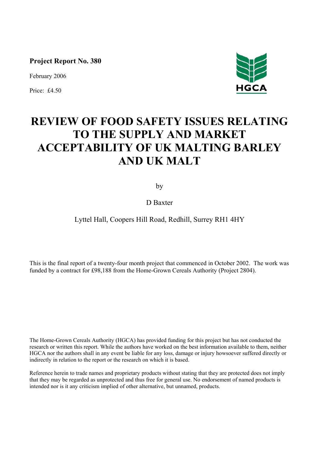**Project Report No. 380** 

February 2006

Price: £4.50



# **REVIEW OF FOOD SAFETY ISSUES RELATING TO THE SUPPLY AND MARKET ACCEPTABILITY OF UK MALTING BARLEY AND UK MALT**

by

D Baxter

# Lyttel Hall, Coopers Hill Road, Redhill, Surrey RH1 4HY

This is the final report of a twenty-four month project that commenced in October 2002. The work was funded by a contract for £98,188 from the Home-Grown Cereals Authority (Project 2804).

The Home-Grown Cereals Authority (HGCA) has provided funding for this project but has not conducted the research or written this report. While the authors have worked on the best information available to them, neither HGCA nor the authors shall in any event be liable for any loss, damage or injury howsoever suffered directly or indirectly in relation to the report or the research on which it is based.

Reference herein to trade names and proprietary products without stating that they are protected does not imply that they may be regarded as unprotected and thus free for general use. No endorsement of named products is intended nor is it any criticism implied of other alternative, but unnamed, products.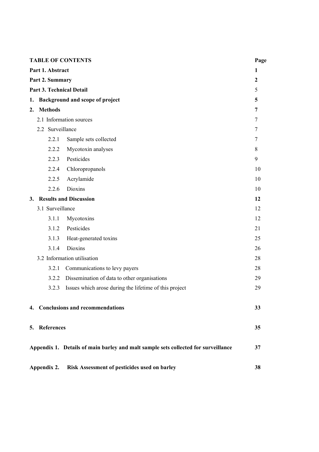| <b>TABLE OF CONTENTS</b> |                                 |                                                                                    |                |  |  |  |  |
|--------------------------|---------------------------------|------------------------------------------------------------------------------------|----------------|--|--|--|--|
| Part 1. Abstract         |                                 |                                                                                    |                |  |  |  |  |
|                          | Part 2. Summary                 |                                                                                    | $\mathbf{2}$   |  |  |  |  |
|                          | <b>Part 3. Technical Detail</b> |                                                                                    | 5              |  |  |  |  |
| 1.                       |                                 | Background and scope of project                                                    | 5              |  |  |  |  |
| 2.                       | <b>Methods</b>                  |                                                                                    | $\overline{7}$ |  |  |  |  |
|                          |                                 | 2.1 Information sources                                                            | 7              |  |  |  |  |
|                          | 2.2 Surveillance                |                                                                                    | 7              |  |  |  |  |
|                          | 2.2.1                           | Sample sets collected                                                              | 7              |  |  |  |  |
|                          | 2.2.2                           | Mycotoxin analyses                                                                 | 8              |  |  |  |  |
|                          | 2.2.3                           | Pesticides                                                                         | 9              |  |  |  |  |
|                          | 2.2.4                           | Chloropropanols                                                                    | 10             |  |  |  |  |
|                          | 2.2.5                           | Acrylamide                                                                         | 10             |  |  |  |  |
|                          | 2.2.6                           | Dioxins                                                                            | 10             |  |  |  |  |
|                          |                                 | 3. Results and Discussion                                                          | 12             |  |  |  |  |
|                          | 3.1 Surveillance                |                                                                                    | 12             |  |  |  |  |
|                          | 3.1.1                           | Mycotoxins                                                                         | 12             |  |  |  |  |
|                          | 3.1.2                           | Pesticides                                                                         | 21             |  |  |  |  |
|                          | 3.1.3                           | Heat-generated toxins                                                              | 25             |  |  |  |  |
|                          | 3.1.4                           | Dioxins                                                                            | 26             |  |  |  |  |
|                          |                                 | 3.2 Information utilisation                                                        | 28             |  |  |  |  |
|                          | 3.2.1                           | Communications to levy payers                                                      | 28             |  |  |  |  |
|                          | 3.2.2                           | Dissemination of data to other organisations                                       | 29             |  |  |  |  |
|                          | 3.2.3                           | Issues which arose during the lifetime of this project                             | 29             |  |  |  |  |
|                          |                                 | 4. Conclusions and recommendations                                                 | 33             |  |  |  |  |
|                          | 5. References                   |                                                                                    | 35             |  |  |  |  |
|                          |                                 | Appendix 1. Details of main barley and malt sample sets collected for surveillance | 37             |  |  |  |  |
|                          |                                 | Appendix 2. Risk Assessment of pesticides used on barley                           | 38             |  |  |  |  |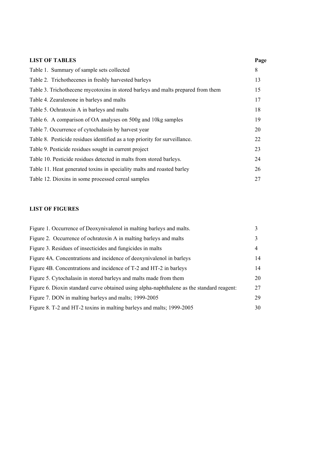| <b>LIST OF TABLES</b>                                                            | Page |
|----------------------------------------------------------------------------------|------|
| Table 1. Summary of sample sets collected                                        | 8    |
| Table 2. Trichothecenes in freshly harvested barleys                             | 13   |
| Table 3. Trichothecene mycotoxins in stored barleys and malts prepared from them | 15   |
| Table 4. Zearalenone in barleys and malts                                        | 17   |
| Table 5. Ochratoxin A in barleys and malts                                       | 18   |
| Table 6. A comparison of OA analyses on 500g and 10kg samples                    | 19   |
| Table 7. Occurrence of cytochalasin by harvest year                              | 20   |
| Table 8. Pesticide residues identified as a top priority for surveillance.       | 22   |
| Table 9. Pesticide residues sought in current project                            | 23   |
| Table 10. Pesticide residues detected in malts from stored barleys.              | 24   |
| Table 11. Heat generated toxins in speciality malts and roasted barley           | 26   |
| Table 12. Dioxins in some processed cereal samples                               | 27   |

# **LIST OF FIGURES**

| Figure 1. Occurrence of Deoxynivalenol in malting barleys and malts.                      | 3  |
|-------------------------------------------------------------------------------------------|----|
| Figure 2. Occurrence of ochratoxin A in malting barleys and malts                         | 3  |
| Figure 3. Residues of insecticides and fungicides in malts                                | 4  |
| Figure 4A. Concentrations and incidence of deoxynivalenol in barleys                      | 14 |
| Figure 4B. Concentrations and incidence of T-2 and HT-2 in barleys                        | 14 |
| Figure 5. Cytochalasin in stored barleys and malts made from them                         | 20 |
| Figure 6. Dioxin standard curve obtained using alpha-naphthalene as the standard reagent: | 27 |
| Figure 7. DON in malting barleys and malts; 1999-2005                                     | 29 |
| Figure 8. T-2 and HT-2 toxins in malting barleys and malts; 1999-2005                     | 30 |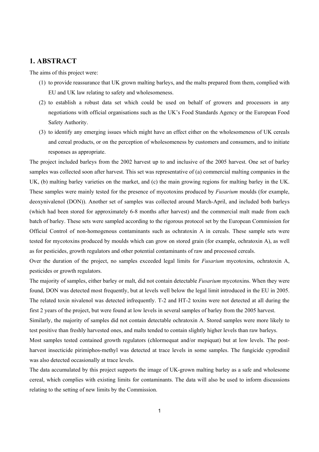# **1. ABSTRACT**

The aims of this project were:

- (1) to provide reassurance that UK grown malting barleys, and the malts prepared from them, complied with EU and UK law relating to safety and wholesomeness.
- (2) to establish a robust data set which could be used on behalf of growers and processors in any negotiations with official organisations such as the UK's Food Standards Agency or the European Food Safety Authority.
- (3) to identify any emerging issues which might have an effect either on the wholesomeness of UK cereals and cereal products, or on the perception of wholesomeness by customers and consumers, and to initiate responses as appropriate.

The project included barleys from the 2002 harvest up to and inclusive of the 2005 harvest. One set of barley samples was collected soon after harvest. This set was representative of (a) commercial malting companies in the UK, (b) malting barley varieties on the market, and (c) the main growing regions for malting barley in the UK. These samples were mainly tested for the presence of mycotoxins produced by *Fusarium* moulds (for example, deoxynivalenol (DON)). Another set of samples was collected around March-April, and included both barleys (which had been stored for approximately 6-8 months after harvest) and the commercial malt made from each batch of barley. These sets were sampled according to the rigorous protocol set by the European Commission for Official Control of non-homogenous contaminants such as ochratoxin A in cereals. These sample sets were tested for mycotoxins produced by moulds which can grow on stored grain (for example, ochratoxin A), as well as for pesticides, growth regulators and other potential contaminants of raw and processed cereals.

Over the duration of the project, no samples exceeded legal limits for *Fusarium* mycotoxins, ochratoxin A, pesticides or growth regulators.

The majority of samples, either barley or malt, did not contain detectable *Fusarium* mycotoxins. When they were found, DON was detected most frequently, but at levels well below the legal limit introduced in the EU in 2005. The related toxin nivalenol was detected infrequently. T-2 and HT-2 toxins were not detected at all during the first 2 years of the project, but were found at low levels in several samples of barley from the 2005 harvest.

Similarly, the majority of samples did not contain detectable ochratoxin A. Stored samples were more likely to test positive than freshly harvested ones, and malts tended to contain slightly higher levels than raw barleys.

Most samples tested contained growth regulators (chlormequat and/or mepiquat) but at low levels. The postharvest insecticide pirimiphos-methyl was detected at trace levels in some samples. The fungicide cyprodinil was also detected occasionally at trace levels.

The data accumulated by this project supports the image of UK-grown malting barley as a safe and wholesome cereal, which complies with existing limits for contaminants. The data will also be used to inform discussions relating to the setting of new limits by the Commission.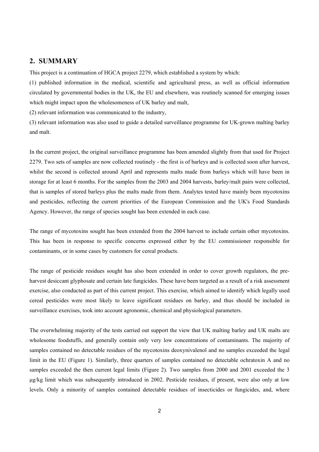# **2. SUMMARY**

This project is a continuation of HGCA project 2279, which established a system by which:

(1) published information in the medical, scientific and agricultural press, as well as official information circulated by governmental bodies in the UK, the EU and elsewhere, was routinely scanned for emerging issues which might impact upon the wholesomeness of UK barley and malt,

(2) relevant information was communicated to the industry,

(3) relevant information was also used to guide a detailed surveillance programme for UK-grown malting barley and malt.

In the current project, the original surveillance programme has been amended slightly from that used for Project 2279. Two sets of samples are now collected routinely - the first is of barleys and is collected soon after harvest, whilst the second is collected around April and represents malts made from barleys which will have been in storage for at least 6 months. For the samples from the 2003 and 2004 harvests, barley/malt pairs were collected, that is samples of stored barleys plus the malts made from them. Analytes tested have mainly been mycotoxins and pesticides, reflecting the current priorities of the European Commission and the UK's Food Standards Agency. However, the range of species sought has been extended in each case.

The range of mycotoxins sought has been extended from the 2004 harvest to include certain other mycotoxins. This has been in response to specific concerns expressed either by the EU commissioner responsible for contaminants, or in some cases by customers for cereal products.

The range of pesticide residues sought has also been extended in order to cover growth regulators, the preharvest desiccant glyphosate and certain late fungicides. These have been targeted as a result of a risk assessment exercise, also conducted as part of this current project. This exercise, which aimed to identify which legally used cereal pesticides were most likely to leave significant residues on barley, and thus should be included in surveillance exercises, took into account agronomic, chemical and physiological parameters.

The overwhelming majority of the tests carried out support the view that UK malting barley and UK malts are wholesome foodstuffs, and generally contain only very low concentrations of contaminants. The majority of samples contained no detectable residues of the mycotoxins deoxynivalenol and no samples exceeded the legal limit in the EU (Figure 1). Similarly, three quarters of samples contained no detectable ochratoxin A and no samples exceeded the then current legal limits (Figure 2). Two samples from 2000 and 2001 exceeded the 3 µg/kg limit which was subsequently introduced in 2002. Pesticide residues, if present, were also only at low levels. Only a minority of samples contained detectable residues of insecticides or fungicides, and, where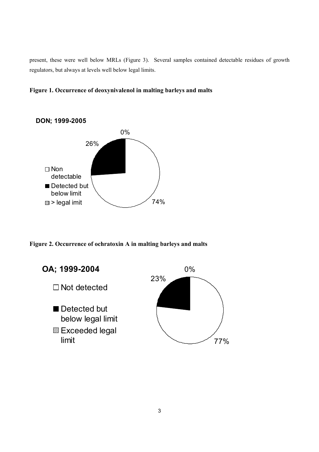present, these were well below MRLs (Figure 3). Several samples contained detectable residues of growth regulators, but always at levels well below legal limits.





**Figure 2. Occurrence of ochratoxin A in malting barleys and malts**

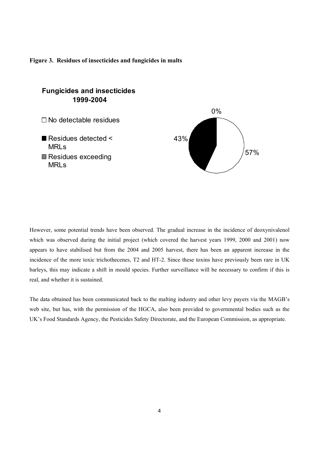



However, some potential trends have been observed. The gradual increase in the incidence of deoxynivalenol which was observed during the initial project (which covered the harvest years 1999, 2000 and 2001) now appears to have stabilised but from the 2004 and 2005 harvest, there has been an apparent increase in the incidence of the more toxic trichothecenes, T2 and HT-2. Since these toxins have previously been rare in UK barleys, this may indicate a shift in mould species. Further surveillance will be necessary to confirm if this is real, and whether it is sustained.

The data obtained has been communicated back to the malting industry and other levy payers via the MAGB's web site, but has, with the permission of the HGCA, also been provided to governmental bodies such as the UK's Food Standards Agency, the Pesticides Safety Directorate, and the European Commission, as appropriate.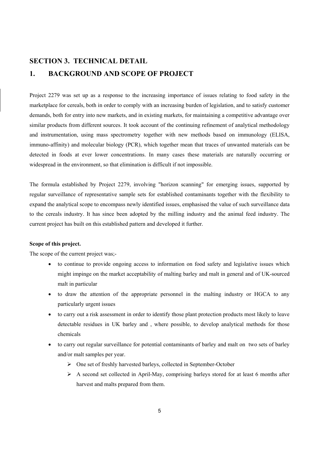# **SECTION 3. TECHNICAL DETAIL 1. BACKGROUND AND SCOPE OF PROJECT**

Project 2279 was set up as a response to the increasing importance of issues relating to food safety in the marketplace for cereals, both in order to comply with an increasing burden of legislation, and to satisfy customer demands, both for entry into new markets, and in existing markets, for maintaining a competitive advantage over similar products from different sources. It took account of the continuing refinement of analytical methodology and instrumentation, using mass spectrometry together with new methods based on immunology (ELISA, immuno-affinity) and molecular biology (PCR), which together mean that traces of unwanted materials can be detected in foods at ever lower concentrations. In many cases these materials are naturally occurring or widespread in the environment, so that elimination is difficult if not impossible.

The formula established by Project 2279, involving "horizon scanning" for emerging issues, supported by regular surveillance of representative sample sets for established contaminants together with the flexibility to expand the analytical scope to encompass newly identified issues, emphasised the value of such surveillance data to the cereals industry. It has since been adopted by the milling industry and the animal feed industry. The current project has built on this established pattern and developed it further.

# **Scope of this project.**

The scope of the current project was;-

- to continue to provide ongoing access to information on food safety and legislative issues which might impinge on the market acceptability of malting barley and malt in general and of UK-sourced malt in particular
- to draw the attention of the appropriate personnel in the malting industry or HGCA to any particularly urgent issues
- to carry out a risk assessment in order to identify those plant protection products most likely to leave detectable residues in UK barley and , where possible, to develop analytical methods for those chemicals
- to carry out regular surveillance for potential contaminants of barley and malt on two sets of barley and/or malt samples per year.
	- ¾ One set of freshly harvested barleys, collected in September-October
	- $\triangleright$  A second set collected in April-May, comprising barleys stored for at least 6 months after harvest and malts prepared from them.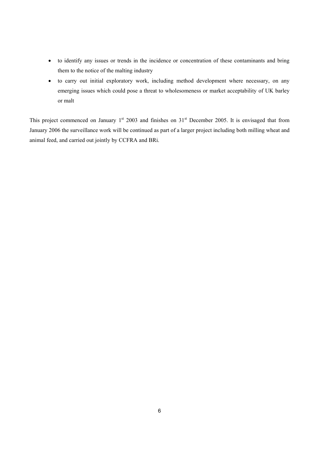- to identify any issues or trends in the incidence or concentration of these contaminants and bring them to the notice of the malting industry
- to carry out initial exploratory work, including method development where necessary, on any emerging issues which could pose a threat to wholesomeness or market acceptability of UK barley or malt

This project commenced on January  $1<sup>st</sup>$  2003 and finishes on  $31<sup>st</sup>$  December 2005. It is envisaged that from January 2006 the surveillance work will be continued as part of a larger project including both milling wheat and animal feed, and carried out jointly by CCFRA and BRi.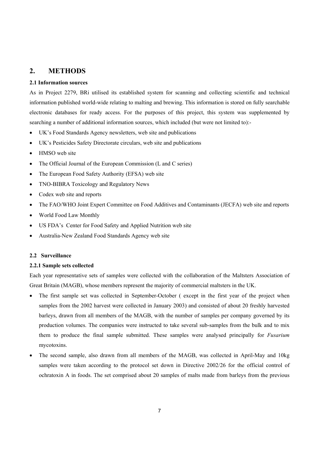# **2. METHODS**

# **2.1 Information sources**

As in Project 2279, BRi utilised its established system for scanning and collecting scientific and technical information published world-wide relating to malting and brewing. This information is stored on fully searchable electronic databases for ready access. For the purposes of this project, this system was supplemented by searching a number of additional information sources, which included (but were not limited to):-

- UK's Food Standards Agency newsletters, web site and publications
- UK's Pesticides Safety Directorate circulars, web site and publications
- HMSO web site
- The Official Journal of the European Commission (L and C series)
- The European Food Safety Authority (EFSA) web site
- TNO-BIBRA Toxicology and Regulatory News
- Codex web site and reports
- The FAO/WHO Joint Expert Committee on Food Additives and Contaminants (JECFA) web site and reports
- World Food Law Monthly
- US FDA's Center for Food Safety and Applied Nutrition web site
- Australia-New Zealand Food Standards Agency web site

# **2.2 Surveillance**

#### **2.2.1 Sample sets collected**

Each year representative sets of samples were collected with the collaboration of the Maltsters Association of Great Britain (MAGB), whose members represent the majority of commercial maltsters in the UK.

- The first sample set was collected in September-October (except in the first year of the project when samples from the 2002 harvest were collected in January 2003) and consisted of about 20 freshly harvested barleys, drawn from all members of the MAGB, with the number of samples per company governed by its production volumes. The companies were instructed to take several sub-samples from the bulk and to mix them to produce the final sample submitted. These samples were analysed principally for *Fusarium*  mycotoxins.
- The second sample, also drawn from all members of the MAGB, was collected in April-May and 10kg samples were taken according to the protocol set down in Directive 2002/26 for the official control of ochratoxin A in foods. The set comprised about 20 samples of malts made from barleys from the previous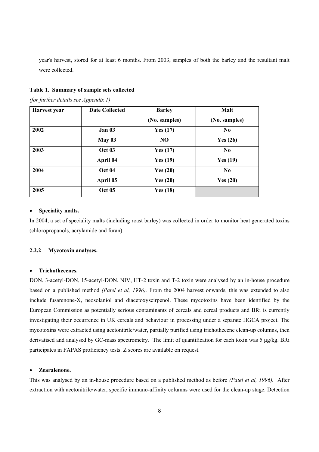year's harvest, stored for at least 6 months. From 2003, samples of both the barley and the resultant malt were collected.

#### **Table 1. Summary of sample sets collected**

*(for further details see Appendix 1)* 

| Harvest year | <b>Date Collected</b> | <b>Barley</b>  | <b>Malt</b>    |
|--------------|-----------------------|----------------|----------------|
|              |                       | (No. samples)  | (No. samples)  |
| 2002         | Jan 03                | Yes $(17)$     | N <sub>0</sub> |
|              | May $03$              | N <sub>O</sub> | Yes $(26)$     |
| 2003         | <b>Oct 03</b>         | Yes $(17)$     | N <sub>0</sub> |
|              | April 04              | Yes $(19)$     | Yes $(19)$     |
| 2004         | <b>Oct 04</b>         | Yes $(20)$     | N <sub>0</sub> |
|              | April 05              | Yes $(20)$     | Yes $(20)$     |
| 2005         | <b>Oct 05</b>         | Yes $(18)$     |                |

#### • **Speciality malts.**

In 2004, a set of speciality malts (including roast barley) was collected in order to monitor heat generated toxins (chloropropanols, acrylamide and furan)

# **2.2.2 Mycotoxin analyses.**

### • **Trichothecenes.**

DON, 3-acetyl-DON, 15-acetyl-DON, NIV, HT-2 toxin and T-2 toxin were analysed by an in-house procedure based on a published method *(Patel et al, 1996).* From the 2004 harvest onwards, this was extended to also include fusarenone-X, neosolaniol and diacetoxyscirpenol. These mycotoxins have been identified by the European Commission as potentially serious contaminants of cereals and cereal products and BRi is currently investigating their occurrence in UK cereals and behaviour in processing under a separate HGCA project. The mycotoxins were extracted using acetonitrile/water, partially purified using trichothecene clean-up columns, then derivatised and analysed by GC-mass spectrometry. The limit of quantification for each toxin was 5 µg/kg. BRi participates in FAPAS proficiency tests. Z scores are available on request.

#### • **Zearalenone.**

This was analysed by an in-house procedure based on a published method as before *(Patel et al, 1996).* After extraction with acetonitrile/water, specific immuno-affinity columns were used for the clean-up stage. Detection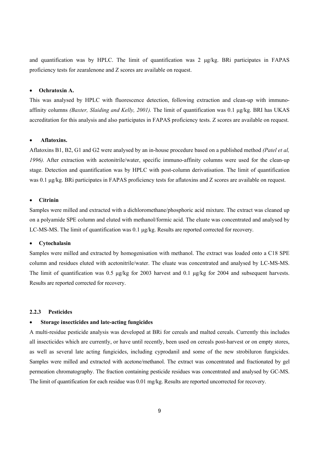and quantification was by HPLC. The limit of quantification was 2 µg/kg. BRi participates in FAPAS proficiency tests for zearalenone and Z scores are available on request.

#### • **Ochratoxin A.**

This was analysed by HPLC with fluorescence detection, following extraction and clean-up with immunoaffinity columns *(Baxter, Slaiding and Kelly, 2001).* The limit of quantification was 0.1 µg/kg. BRI has UKAS accreditation for this analysis and also participates in FAPAS proficiency tests. Z scores are available on request.

#### • **Aflatoxins.**

Aflatoxins B1, B2, G1 and G2 were analysed by an in-house procedure based on a published method *(Patel et al, 1996).* After extraction with acetonitrile/water, specific immuno-affinity columns were used for the clean-up stage. Detection and quantification was by HPLC with post-column derivatisation. The limit of quantification was 0.1 µg/kg. BRi participates in FAPAS proficiency tests for aflatoxins and Z scores are available on request.

#### • **Citrinin**

Samples were milled and extracted with a dichloromethane/phosphoric acid mixture. The extract was cleaned up on a polyamide SPE column and eluted with methanol/formic acid. The eluate was concentrated and analysed by LC-MS-MS. The limit of quantification was 0.1 µg/kg. Results are reported corrected for recovery.

#### • **Cytochalasin**

Samples were milled and extracted by homogenisation with methanol. The extract was loaded onto a C18 SPE column and residues eluted with acetonitrile/water. The eluate was concentrated and analysed by LC-MS-MS. The limit of quantification was 0.5 µg/kg for 2003 harvest and 0.1 µg/kg for 2004 and subsequent harvests. Results are reported corrected for recovery.

#### **2.2.3 Pesticides**

#### • **Storage insecticides and late-acting fungicides**

A multi-residue pesticide analysis was developed at BRi for cereals and malted cereals. Currently this includes all insecticides which are currently, or have until recently, been used on cereals post-harvest or on empty stores, as well as several late acting fungicides, including cyprodanil and some of the new strobiluron fungicides. Samples were milled and extracted with acetone/methanol. The extract was concentrated and fractionated by gel permeation chromatography. The fraction containing pesticide residues was concentrated and analysed by GC-MS. The limit of quantification for each residue was 0.01 mg/kg. Results are reported uncorrected for recovery.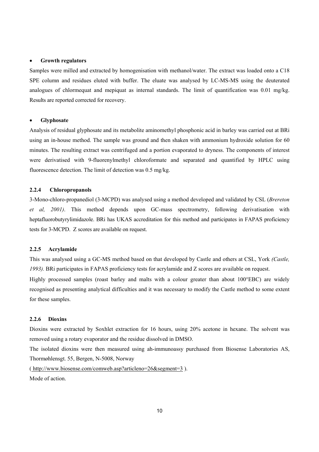#### • **Growth regulators**

Samples were milled and extracted by homogenisation with methanol/water. The extract was loaded onto a C18 SPE column and residues eluted with buffer. The eluate was analysed by LC-MS-MS using the deuterated analogues of chlormequat and mepiquat as internal standards. The limit of quantification was 0.01 mg/kg. Results are reported corrected for recovery.

#### • **Glyphosate**

Analysis of residual glyphosate and its metabolite aminomethyl phosphonic acid in barley was carried out at BRi using an in-house method. The sample was ground and then shaken with ammonium hydroxide solution for 60 minutes. The resulting extract was centrifuged and a portion evaporated to dryness. The components of interest were derivatised with 9-fluorenylmethyl chloroformate and separated and quantified by HPLC using fluorescence detection. The limit of detection was 0.5 mg/kg.

#### **2.2.4 Chloropropanols**

3-Mono-chloro-propanediol (3-MCPD) was analysed using a method developed and validated by CSL (*Brereton et al, 2001)*. This method depends upon GC-mass spectrometry, following derivatisation with heptafluorobutyrylimidazole. BRi has UKAS accreditation for this method and participates in FAPAS proficiency tests for 3-MCPD. Z scores are available on request.

# **2.2.5 Acrylamide**

This was analysed using a GC-MS method based on that developed by Castle and others at CSL, York *(Castle, 1993).* BRi participates in FAPAS proficiency tests for acrylamide and Z scores are available on request.

Highly processed samples (roast barley and malts with a colour greater than about 100°EBC) are widely recognised as presenting analytical difficulties and it was necessary to modify the Castle method to some extent for these samples.

#### **2.2.6 Dioxins**

Dioxins were extracted by Soxhlet extraction for 16 hours, using 20% acetone in hexane. The solvent was removed using a rotary evaporator and the residue dissolved in DMSO.

The isolated dioxins were then measured using ah-immunoassy purchased from Biosense Laboratories AS, Thormøhlensgt. 55, Bergen, N-5008, Norway

( http://www.biosense.com/comweb.asp?articleno=26&segment=3 ). Mode of action.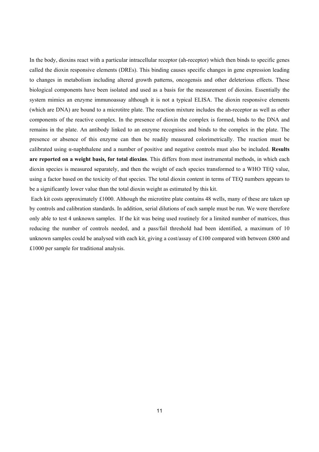In the body, dioxins react with a particular intracellular receptor (ah-receptor) which then binds to specific genes called the dioxin responsive elements (DREs). This binding causes specific changes in gene expression leading to changes in metabolism including altered growth patterns, oncogensis and other deleterious effects. These biological components have been isolated and used as a basis for the measurement of dioxins. Essentially the system mimics an enzyme immunoassay although it is not a typical ELISA. The dioxin responsive elements (which are DNA) are bound to a microtitre plate. The reaction mixture includes the ah-receptor as well as other components of the reactive complex. In the presence of dioxin the complex is formed, binds to the DNA and remains in the plate. An antibody linked to an enzyme recognises and binds to the complex in the plate. The presence or absence of this enzyme can then be readily measured colorimetrically. The reaction must be calibrated using α-naphthalene and a number of positive and negative controls must also be included. **Results are reported on a weight basis, for total dioxins**. This differs from most instrumental methods, in which each dioxin species is measured separately, and then the weight of each species transformed to a WHO TEQ value, using a factor based on the toxicity of that species. The total dioxin content in terms of TEQ numbers appears to be a significantly lower value than the total dioxin weight as estimated by this kit.

 Each kit costs approximately £1000. Although the microtitre plate contains 48 wells, many of these are taken up by controls and calibration standards. In addition, serial dilutions of each sample must be run. We were therefore only able to test 4 unknown samples. If the kit was being used routinely for a limited number of matrices, thus reducing the number of controls needed, and a pass/fail threshold had been identified, a maximum of 10 unknown samples could be analysed with each kit, giving a cost/assay of £100 compared with between £800 and £1000 per sample for traditional analysis.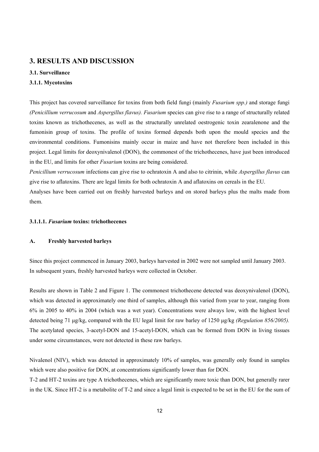# **3. RESULTS AND DISCUSSION**

# **3.1. Surveillance**

#### **3.1.1. Mycotoxins**

This project has covered surveillance for toxins from both field fungi (mainly *Fusarium spp.)* and storage fungi *(Penicillium verrucosum* and *Aspergillus flavus). Fusarium* species can give rise to a range of structurally related toxins known as trichothecenes, as well as the structurally unrelated oestrogenic toxin zearalenone and the fumonisin group of toxins. The profile of toxins formed depends both upon the mould species and the environmental conditions. Fumonisins mainly occur in maize and have not therefore been included in this project. Legal limits for deoxynivalenol (DON), the commonest of the trichothecenes, have just been introduced in the EU, and limits for other *Fusarium* toxins are being considered.

*Penicillium verrucosum* infections can give rise to ochratoxin A and also to citrinin, while *Aspergillus flavus* can give rise to aflatoxins. There are legal limits for both ochratoxin A and aflatoxins on cereals in the EU.

Analyses have been carried out on freshly harvested barleys and on stored barleys plus the malts made from them.

#### **3.1.1.1.** *Fusarium* **toxins: trichothecenes**

#### **A. Freshly harvested barleys**

Since this project commenced in January 2003, barleys harvested in 2002 were not sampled until January 2003. In subsequent years, freshly harvested barleys were collected in October.

Results are shown in Table 2 and Figure 1. The commonest trichothecene detected was deoxynivalenol (DON), which was detected in approximately one third of samples, although this varied from year to year, ranging from 6% in 2005 to 40% in 2004 (which was a wet year). Concentrations were always low, with the highest level detected being 71 µg/kg, compared with the EU legal limit for raw barley of 1250 µg/kg *(Regulation 856/2005).*  The acetylated species, 3-acetyl-DON and 15-acetyl-DON, which can be formed from DON in living tissues under some circumstances, were not detected in these raw barleys.

Nivalenol (NIV), which was detected in approximately 10% of samples, was generally only found in samples which were also positive for DON, at concentrations significantly lower than for DON.

T-2 and HT-2 toxins are type A trichothecenes, which are significantly more toxic than DON, but generally rarer in the UK. Since HT-2 is a metabolite of T-2 and since a legal limit is expected to be set in the EU for the sum of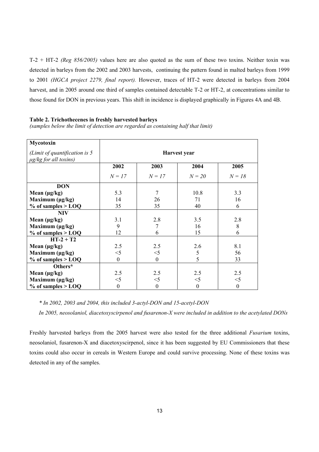T-2 + HT-2 *(Reg 856/2005)* values here are also quoted as the sum of these two toxins. Neither toxin was detected in barleys from the 2002 and 2003 harvests, continuing the pattern found in malted barleys from 1999 to 2001 *(HGCA project 2279, final report).* However, traces of HT-2 were detected in barleys from 2004 harvest, and in 2005 around one third of samples contained detectable T-2 or HT-2, at concentrations similar to those found for DON in previous years. This shift in incidence is displayed graphically in Figures 4A and 4B.

#### **Table 2. Trichothecenes in freshly harvested barleys**

*(samples below the limit of detection are regarded as containing half that limit)* 

| Mycotoxin                                                     |              |                  |          |                  |  |  |
|---------------------------------------------------------------|--------------|------------------|----------|------------------|--|--|
| (Limit of quantification is $5$<br>$\mu$ g/kg for all toxins) | Harvest year |                  |          |                  |  |  |
|                                                               | 2002         | 2003             | 2004     | 2005             |  |  |
|                                                               | $N = 17$     | $N = 17$         | $N=20$   | $N = 18$         |  |  |
| <b>DON</b>                                                    |              |                  |          |                  |  |  |
| Mean $(\mu g/kg)$                                             | 5.3          | 7                | 10.8     | 3.3              |  |  |
| Maximum (µg/kg)                                               | 14           | 26               | 71       | 16               |  |  |
| $%$ of samples $>$ LOQ                                        | 35           | 35               | 40       | 6                |  |  |
| <b>NIV</b>                                                    |              |                  |          |                  |  |  |
| Mean $(\mu g/kg)$                                             | 3.1          | 2.8              | 3.5      | 2.8              |  |  |
| Maximum (µg/kg)                                               | 9            | 7                | 16       | 8                |  |  |
| $%$ of samples $>$ LOQ                                        | 12           | 6                | 15       | 6                |  |  |
| $HT-2+T2$                                                     |              |                  |          |                  |  |  |
| Mean $(\mu g/kg)$                                             | 2.5          | 2.5              | 2.6      | 8.1              |  |  |
| Maximum $(\mu g/kg)$                                          | $<$ 5        | $<$ 5            | 5        | 56               |  |  |
| $%$ of samples $>$ LOQ                                        | $\mathbf{0}$ | $\boldsymbol{0}$ | 5        | 33               |  |  |
| Others*                                                       |              |                  |          |                  |  |  |
| Mean $(\mu g/kg)$                                             | 2.5          | 2.5              | 2.5      | 2.5              |  |  |
| Maximum (µg/kg)                                               | $<$ 5        | $<$ 5            | $<$ 5    | $<$ 5            |  |  |
| $%$ of samples $>$ LOQ                                        | $\theta$     | $\theta$         | $\theta$ | $\boldsymbol{0}$ |  |  |

*\* In 2002, 2003 and 2004, this included 3-actyl-DON and 15-acetyl-DON* 

*In 2005, neosolaniol, diacetoxyscirpenol and fusarenon-X were included in addition to the acetylated DONs* 

Freshly harvested barleys from the 2005 harvest were also tested for the three additional *Fusarium* toxins, neosolaniol, fusarenon-X and diacetoxyscirpenol, since it has been suggested by EU Commissioners that these toxins could also occur in cereals in Western Europe and could survive processing. None of these toxins was detected in any of the samples.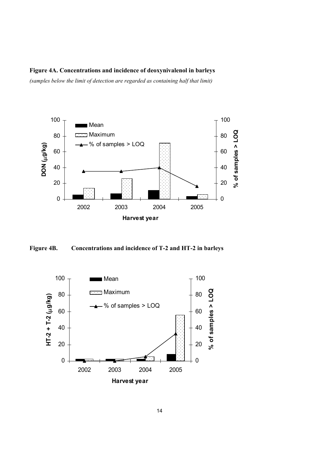# **Figure 4A. Concentrations and incidence of deoxynivalenol in barleys**

*(samples below the limit of detection are regarded as containing half that limit)* 



**Figure 4B. Concentrations and incidence of T-2 and HT-2 in barleys** 

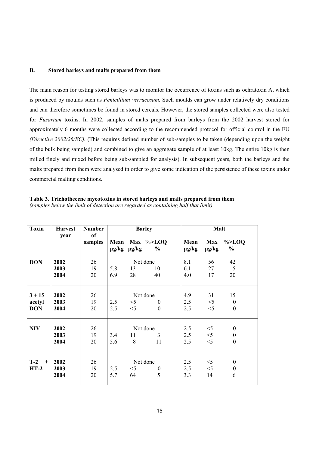# **B. Stored barleys and malts prepared from them**

The main reason for testing stored barleys was to monitor the occurrence of toxins such as ochratoxin A, which is produced by moulds such as *Penicillium verrucosum.* Such moulds can grow under relatively dry conditions and can therefore sometimes be found in stored cereals. However, the stored samples collected were also tested for *Fusarium* toxins. In 2002, samples of malts prepared from barleys from the 2002 harvest stored for approximately 6 months were collected according to the recommended protocol for official control in the EU *(Directive 2002/26/EC).* (This requires defined number of sub-samples to be taken (depending upon the weight of the bulk being sampled) and combined to give an aggregate sample of at least 10kg. The entire 10kg is then milled finely and mixed before being sub-sampled for analysis). In subsequent years, both the barleys and the malts prepared from them were analysed in order to give some indication of the persistence of these toxins under commercial malting conditions.

**Table 3. Trichothecene mycotoxins in stored barleys and malts prepared from them**  *(samples below the limit of detection are regarded as containing half that limit)* 

| <b>Toxin</b> | <b>Harvest</b> | <b>Number</b><br><b>of</b> | <b>Barley</b> |                       |                                 | <b>Malt</b>        |                          |                            |
|--------------|----------------|----------------------------|---------------|-----------------------|---------------------------------|--------------------|--------------------------|----------------------------|
|              | year           | samples                    |               | $\mu$ g/kg $\mu$ g/kg | Mean Max %>LOQ<br>$\frac{0}{0}$ | Mean<br>$\mu$ g/kg | <b>Max</b><br>$\mu$ g/kg | $\%$ >LOQ<br>$\frac{0}{0}$ |
|              |                |                            |               |                       |                                 |                    |                          |                            |
| <b>DON</b>   | 2002           | 26                         |               |                       | Not done                        | 8.1                | 56                       | 42                         |
|              | 2003           | 19                         | 5.8           | 13                    | 10                              | 6.1                | 27                       | 5                          |
|              | 2004           | 20                         | 6.9           | 28                    | 40                              | 4.0                | 17                       | 20                         |
|              |                |                            |               |                       |                                 |                    |                          |                            |
| $3 + 15$     | 2002           | 26                         |               | Not done              |                                 | 4.9                | 31                       | 15                         |
| acetyl       | 2003           | 19                         | 2.5           | $<$ 5                 | $\Omega$                        | 2.5                | $<$ 5                    | $\mathbf{0}$               |
| <b>DON</b>   | 2004           | 20                         | 2.5           | $<$ 5                 | $\theta$                        | 2.5                | $<$ 5                    | $\theta$                   |
|              |                |                            |               |                       |                                 |                    |                          |                            |
| <b>NIV</b>   | 2002           | 26                         |               |                       | Not done                        | 2.5                | $<$ 5                    | $\mathbf{0}$               |
|              | 2003           | 19                         | 3.4           | 11                    | 3                               | 2.5                | $<\!\!5$                 | $\boldsymbol{0}$           |
|              | 2004           | 20                         | 5.6           | 8                     | 11                              | 2.5                | $<$ 5                    | $\theta$                   |
|              |                |                            |               |                       |                                 |                    |                          |                            |
| $T-2$<br>$+$ | 2002           | 26                         |               |                       | Not done                        | 2.5                | $<$ 5                    | $\mathbf{0}$               |
| $HT-2$       | 2003           | 19                         | 2.5           | $<$ 5                 | $\theta$                        | 2.5                | $<$ 5                    | $\boldsymbol{0}$           |
|              | 2004           | 20                         | 5.7           | 64                    | 5                               | 3.3                | 14                       | 6                          |
|              |                |                            |               |                       |                                 |                    |                          |                            |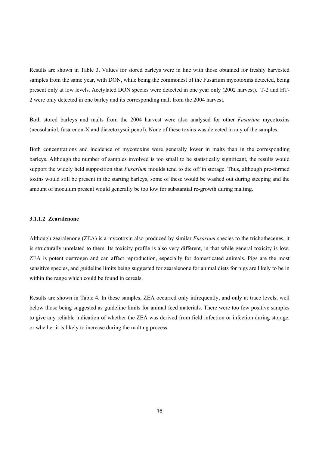Results are shown in Table 3. Values for stored barleys were in line with those obtained for freshly harvested samples from the same year, with DON, while being the commonest of the Fusarium mycotoxins detected, being present only at low levels. Acetylated DON species were detected in one year only (2002 harvest). T-2 and HT-2 were only detected in one barley and its corresponding malt from the 2004 harvest.

Both stored barleys and malts from the 2004 harvest were also analysed for other *Fusarium* mycotoxins (neosolaniol, fusarenon-X and diacetoxyscirpenol). None of these toxins was detected in any of the samples.

Both concentrations and incidence of mycotoxins were generally lower in malts than in the corresponding barleys. Although the number of samples involved is too small to be statistically significant, the results would support the widely held supposition that *Fusarium* moulds tend to die off in storage. Thus, although pre-formed toxins would still be present in the starting barleys, some of these would be washed out during steeping and the amount of inoculum present would generally be too low for substantial re-growth during malting.

#### **3.1.1.2 Zearalenone**

Although zearalenone (ZEA) is a mycotoxin also produced by similar *Fusarium* species to the trichothecenes, it is structurally unrelated to them. Its toxicity profile is also very different, in that while general toxicity is low, ZEA is potent oestrogen and can affect reproduction, especially for domesticated animals. Pigs are the most sensitive species, and guideline limits being suggested for zearalenone for animal diets for pigs are likely to be in within the range which could be found in cereals.

Results are shown in Table 4. In these samples, ZEA occurred only infrequently, and only at trace levels, well below those being suggested as guideline limits for animal feed materials. There were too few positive samples to give any reliable indication of whether the ZEA was derived from field infection or infection during storage, or whether it is likely to increase during the malting process.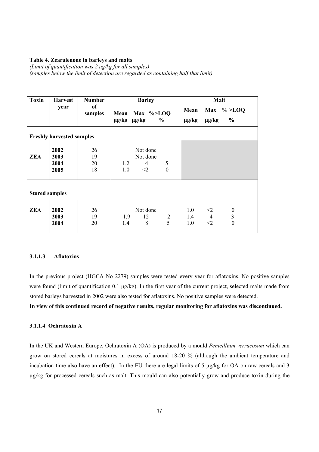#### **Table 4. Zearalenone in barleys and malts**

*(Limit of quantification was 2 µg/kg for all samples) (samples below the limit of detection are regarded as containing half that limit)* 

| <b>Toxin</b> | <b>Harvest</b>                   | <b>Number</b>        | <b>Barley</b>                                                        | Malt                                                                                             |  |  |  |  |
|--------------|----------------------------------|----------------------|----------------------------------------------------------------------|--------------------------------------------------------------------------------------------------|--|--|--|--|
|              | year                             | of<br>samples        | Mean Max %>LOQ<br>$\mu$ g/kg $\mu$ g/kg<br>$\frac{6}{9}$             | Max $\% > LOQ$<br>Mean<br>$\%$<br>$\mu$ g/kg<br>$\mu$ g/kg                                       |  |  |  |  |
|              | <b>Freshly harvested samples</b> |                      |                                                                      |                                                                                                  |  |  |  |  |
| <b>ZEA</b>   | 2002<br>2003<br>2004<br>2005     | 26<br>19<br>20<br>18 | Not done<br>Not done<br>5<br>4<br>1.2<br>$\theta$<br>1.0<br>$\leq$ 2 |                                                                                                  |  |  |  |  |
|              | <b>Stored samples</b>            |                      |                                                                      |                                                                                                  |  |  |  |  |
| <b>ZEA</b>   | 2002<br>2003<br>2004             | 26<br>19<br>20       | Not done<br>12<br>$\frac{2}{5}$<br>1.9<br>8<br>1.4                   | 1.0<br>$<$ 2<br>$\boldsymbol{0}$<br>$1.4$ 4<br>$\overline{3}$<br>$\mathbf{0}$<br>1.0<br>$\leq$ 2 |  |  |  |  |

# **3.1.1.3 Aflatoxins**

In the previous project (HGCA No 2279) samples were tested every year for aflatoxins. No positive samples were found (limit of quantification 0.1 µg/kg). In the first year of the current project, selected malts made from stored barleys harvested in 2002 were also tested for aflatoxins. No positive samples were detected.

**In view of this continued record of negative results, regular monitoring for aflatoxins was discontinued.** 

# **3.1.1.4 Ochratoxin A**

In the UK and Western Europe, Ochratoxin A (OA) is produced by a mould *Penicillium verrucosum* which can grow on stored cereals at moistures in excess of around 18-20 % (although the ambient temperature and incubation time also have an effect). In the EU there are legal limits of 5 µg/kg for OA on raw cereals and 3 µg/kg for processed cereals such as malt. This mould can also potentially grow and produce toxin during the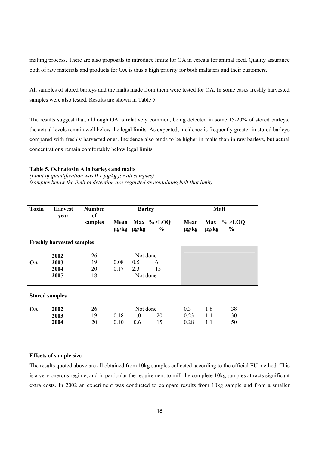malting process. There are also proposals to introduce limits for OA in cereals for animal feed. Quality assurance both of raw materials and products for OA is thus a high priority for both maltsters and their customers.

All samples of stored barleys and the malts made from them were tested for OA. In some cases freshly harvested samples were also tested. Results are shown in Table 5.

The results suggest that, although OA is relatively common, being detected in some 15-20% of stored barleys, the actual levels remain well below the legal limits. As expected, incidence is frequently greater in stored barleys compared with freshly harvested ones. Incidence also tends to be higher in malts than in raw barleys, but actual concentrations remain comfortably below legal limits.

#### **Table 5. Ochratoxin A in barleys and malts**

*(Limit of quantification was 0.1 µg/kg for all samples) (samples below the limit of detection are regarded as containing half that limit)* 

| <b>Toxin</b>          | <b>Harvest</b>                   | <b>Number</b><br>of  | <b>Barley</b>                                                  | Malt                                                                 |
|-----------------------|----------------------------------|----------------------|----------------------------------------------------------------|----------------------------------------------------------------------|
|                       | year                             | samples              | Max $\%>LOO$<br>Mean<br>$\frac{0}{0}$<br>$\mu$ g/kg $\mu$ g/kg | $\% >$ LOQ<br>Mean<br><b>Max</b><br>$\mu$ g/kg<br>$\%$<br>$\mu$ g/kg |
|                       | <b>Freshly harvested samples</b> |                      |                                                                |                                                                      |
| <b>OA</b>             | 2002<br>2003<br>2004<br>2005     | 26<br>19<br>20<br>18 | Not done<br>0.08<br>0.5<br>6<br>0.17<br>2.3<br>15<br>Not done  |                                                                      |
| <b>Stored samples</b> |                                  |                      |                                                                |                                                                      |
| <b>OA</b>             | 2002<br>2003<br>2004             | 26<br>19<br>20       | Not done<br>0.18<br>20<br>1.0<br>0.10<br>0.6<br>15             | 0.3<br>1.8<br>38<br>1.4<br>30<br>0.23<br>0.28<br>1.1<br>50           |

#### **Effects of sample size**

The results quoted above are all obtained from 10kg samples collected according to the official EU method. This is a very onerous regime, and in particular the requirement to mill the complete 10kg samples attracts significant extra costs. In 2002 an experiment was conducted to compare results from 10kg sample and from a smaller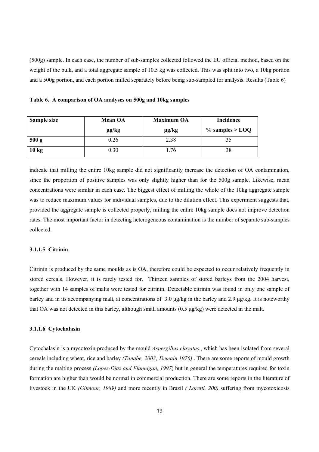(500g) sample. In each case, the number of sub-samples collected followed the EU official method, based on the weight of the bulk, and a total aggregate sample of 10.5 kg was collected. This was split into two, a 10kg portion and a 500g portion, and each portion milled separately before being sub-sampled for analysis. Results (Table 6)

|  |  | Table 6. A comparison of OA analyses on 500g and 10kg samples |
|--|--|---------------------------------------------------------------|
|  |  |                                                               |

| Sample size     | <b>Mean OA</b> | <b>Maximum OA</b> | Incidence          |
|-----------------|----------------|-------------------|--------------------|
|                 | $\mu$ g/kg     | $\mu$ g/kg        | $\%$ samples > LOQ |
| 500 g           | 0.26           | 2.38              | 35                 |
| $10 \text{ kg}$ | 0.30           | .76               | 38                 |

indicate that milling the entire 10kg sample did not significantly increase the detection of OA contamination, since the proportion of positive samples was only slightly higher than for the 500g sample. Likewise, mean concentrations were similar in each case. The biggest effect of milling the whole of the 10kg aggregate sample was to reduce maximum values for individual samples, due to the dilution effect. This experiment suggests that, provided the aggregate sample is collected properly, milling the entire 10kg sample does not improve detection rates. The most important factor in detecting heterogeneous contamination is the number of separate sub-samples collected.

#### **3.1.1.5 Citrinin**

Citrinin is produced by the same moulds as is OA, therefore could be expected to occur relatively frequently in stored cereals. However, it is rarely tested for. Thirteen samples of stored barleys from the 2004 harvest, together with 14 samples of malts were tested for citrinin. Detectable citrinin was found in only one sample of barley and in its accompanying malt, at concentrations of 3.0 µg/kg in the barley and 2.9 µg/kg. It is noteworthy that OA was not detected in this barley, although small amounts  $(0.5 \text{ µg/kg})$  were detected in the malt.

#### **3.1.1.6 Cytochalasin**

Cytochalasin is a mycotoxin produced by the mould *Aspergillus clavatus*., which has been isolated from several cereals including wheat, rice and barley *(Tanabe, 2003; Demain 1976)* . There are some reports of mould growth during the malting process *(Lopez-Diaz and Flannigan, 1997*) but in general the temperatures required for toxin formation are higher than would be normal in commercial production. There are some reports in the literature of livestock in the UK *(Gilmour, 1989)* and more recently in Brazil *( Loretti, 200)* suffering from mycotoxicosis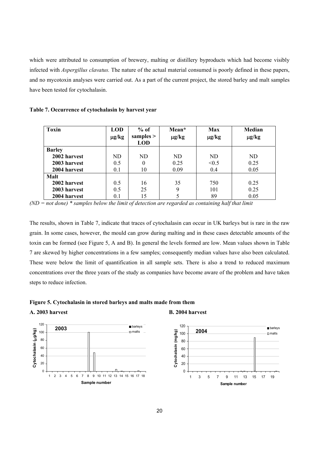which were attributed to consumption of brewery, malting or distillery byproducts which had become visibly infected with *Aspergillus clavatus.* The nature of the actual material consumed is poorly defined in these papers, and no mycotoxin analyses were carried out. As a part of the current project, the stored barley and malt samples have been tested for cytochalasin.

|  |  |  | Table 7. Occurrence of cytochalasin by harvest year |
|--|--|--|-----------------------------------------------------|
|  |  |  |                                                     |

| <b>Toxin</b>  | <b>LOD</b><br>$\mu$ g/kg | $%$ of<br>samples $>$<br><b>LOD</b> | Mean*<br>$\mu$ g/kg | <b>Max</b><br>$\mu$ g/kg | Median<br>$\mu$ g/kg |
|---------------|--------------------------|-------------------------------------|---------------------|--------------------------|----------------------|
| <b>Barley</b> |                          |                                     |                     |                          |                      |
| 2002 harvest  | ND                       | ND                                  | ND.                 | ND                       | ND.                  |
| 2003 harvest  | 0.5                      | 0                                   | 0.25                | < 0.5                    | 0.25                 |
| 2004 harvest  | 0.1                      | 10                                  | 0.09                | 0.4                      | 0.05                 |
| Malt          |                          |                                     |                     |                          |                      |
| 2002 harvest  | 0.5                      | 16                                  | 35                  | 750                      | 0.25                 |
| 2003 harvest  | 0.5                      | 25                                  | 9                   | 101                      | 0.25                 |
| 2004 harvest  | 0.1                      | 15                                  |                     | 89                       | 0.05                 |

*(ND = not done) \* samples below the limit of detection are regarded as containing half that limit* 

The results, shown in Table 7, indicate that traces of cytochalasin can occur in UK barleys but is rare in the raw grain. In some cases, however, the mould can grow during malting and in these cases detectable amounts of the toxin can be formed (see Figure 5, A and B). In general the levels formed are low. Mean values shown in Table 7 are skewed by higher concentrations in a few samples; consequently median values have also been calculated. These were below the limit of quantification in all sample sets. There is also a trend to reduced maximum concentrations over the three years of the study as companies have become aware of the problem and have taken steps to reduce infection.

#### **Figure 5. Cytochalasin in stored barleys and malts made from them**

**A. 2003 harvest** 

![](_page_22_Figure_7.jpeg)

![](_page_22_Figure_8.jpeg)

![](_page_22_Figure_9.jpeg)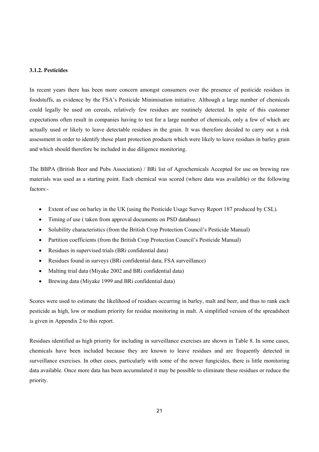# **3.1.2. Pesticides**

In recent years there has been more concern amongst consumers over the presence of pesticide residues in foodstuffs, as evidence by the FSA's Pesticide Minimisation initiative. Although a large number of chemicals could legally be used on cereals, relatively few residues are routinely detected. In spite of this customer expectations often result in companies having to test for a large number of chemicals, only a few of which are actually used or likely to leave detectable residues in the grain. It was therefore decided to carry out a risk assessment in order to identify those plant protection products which were likely to leave residues in barley grain and which should therefore be included in due diligence monitoring.

The BBPA (British Beer and Pubs Association) / BRi list of Agrochemicals Accepted for use on brewing raw materials was used as a starting point. Each chemical was scored (where data was available) or the following factors:-

- Extent of use on barley in the UK (using the Pesticide Usage Survey Report 187 produced by CSL).
- Timing of use ( taken from approval documents on PSD database)
- Solubility characteristics (from the British Crop Protection Council's Pesticide Manual)
- Partition coefficients (from the British Crop Protection Council's Pesticide Manual)
- Residues in supervised trials (BRi confidential data)
- Residues found in surveys (BRi confidential data; FSA surveillance)
- Malting trial data (Miyake 2002 and BRi confidential data)
- Brewing data (Miyake 1999 and BRi confidential data)

Scores were used to estimate the likelihood of residues occurring in barley, malt and beer, and thus to rank each pesticide as high, low or medium priority for residue monitoring in malt. A simplified version of the spreadsheet is given in Appendix 2 to this report.

Residues identified as high priority for including in surveillance exercises are shown in Table 8. In some cases, chemicals have been included because they are known to leave residues and are frequently detected in surveillance exercises. In other cases, particularly with some of the newer fungicides, there is little monitoring data available. Once more data has been accumulated it may be possible to eliminate these residues or reduce the priority.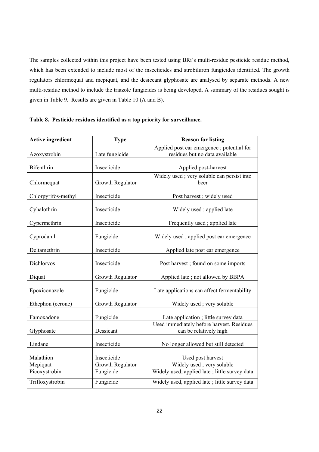The samples collected within this project have been tested using BRi's multi-residue pesticide residue method, which has been extended to include most of the insecticides and strobiluron fungicides identified. The growth regulators chlormequat and mepiquat, and the desiccant glyphosate are analysed by separate methods. A new multi-residue method to include the triazole fungicides is being developed. A summary of the residues sought is given in Table 9. Results are given in Table 10 (A and B).

| <b>Active ingredient</b> | <b>Type</b>      | <b>Reason for listing</b>                                           |
|--------------------------|------------------|---------------------------------------------------------------------|
|                          |                  | Applied post ear emergence; potential for                           |
| Azoxystrobin             | Late fungicide   | residues but no data available                                      |
| Bifenthrin               | Insecticide      | Applied post-harvest                                                |
| Chlormequat              | Growth Regulator | Widely used; very soluble can persist into<br>beer                  |
| Chlorpyrifos-methyl      | Insecticide      | Post harvest; widely used                                           |
| Cyhalothrin              | Insecticide      | Widely used; applied late                                           |
| Cypermethrin             | Insecticide      | Frequently used; applied late                                       |
| Cyprodanil               | Fungicide        | Widely used; applied post ear emergence                             |
| Deltamethrin             | Insecticide      | Applied late post ear emergence                                     |
| Dichlorvos               | Insecticide      | Post harvest; found on some imports                                 |
| Diquat                   | Growth Regulator | Applied late; not allowed by BBPA                                   |
| Epoxiconazole            | Fungicide        | Late applications can affect fermentability                         |
| Ethephon (cerone)        | Growth Regulator | Widely used; very soluble                                           |
| Famoxadone               | Fungicide        | Late application ; little survey data                               |
| Glyphosate               | Dessicant        | Used immediately before harvest. Residues<br>can be relatively high |
| Lindane                  | Insecticide      | No longer allowed but still detected                                |
| Malathion                | Insecticide      | Used post harvest                                                   |
| Mepiquat                 | Growth Regulator | Widely used; very soluble                                           |
| Picoxystrobin            | Fungicide        | Widely used, applied late; little survey data                       |
| Trifloxystrobin          | Fungicide        | Widely used, applied late; little survey data                       |

**Table 8. Pesticide residues identified as a top priority for surveillance.**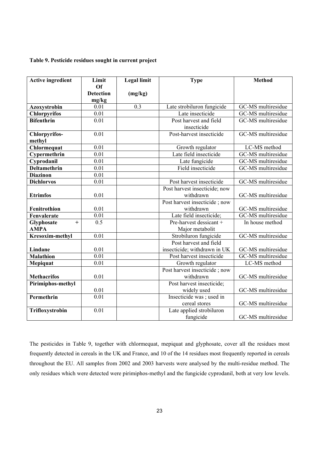### **Table 9. Pesticide residues sought in current project**

| <b>Active ingredient</b>          | Limit             | <b>Legal limit</b> | <b>Type</b>                           | <b>Method</b>      |
|-----------------------------------|-------------------|--------------------|---------------------------------------|--------------------|
|                                   | Of                |                    |                                       |                    |
|                                   | <b>Detection</b>  | (mg/kg)            |                                       |                    |
|                                   | mg/kg<br>0.01     | 0.3                | Late strobiluron fungicide            | GC-MS multiresidue |
| Azoxystrobin                      | $\overline{0.01}$ |                    | Late insecticide                      | GC-MS multiresidue |
| Chlorpyrifos<br><b>Bifenthrin</b> | 0.01              |                    |                                       | GC-MS multiresidue |
|                                   |                   |                    | Post harvest and field<br>insecticide |                    |
| Chlorpyrifos-<br>methyl           | 0.01              |                    | Post-harvest insecticide              | GC-MS multiresidue |
| Chlormequat                       | 0.01              |                    | Growth regulator                      | LC-MS method       |
| Cypermethrin                      | 0.01              |                    | Late field insecticide                | GC-MS multiresidue |
| Cyprodanil                        | 0.01              |                    | Late fungicide                        | GC-MS multiresidue |
| <b>Deltamethrin</b>               | 0.01              |                    | Field insecticide                     | GC-MS multiresidue |
| <b>Diazinon</b>                   | 0.01              |                    |                                       |                    |
| <b>Dichlorvos</b>                 | 0.01              |                    | Post harvest insecticide              | GC-MS multiresidue |
|                                   |                   |                    | Post harvest insecticide; now         |                    |
| <b>Etrimfos</b>                   | 0.01              |                    | withdrawn                             | GC-MS multiresidue |
|                                   |                   |                    | Post harvest insecticide; now         |                    |
| Fenitrothion                      | 0.01              |                    | withdrawn                             | GC-MS multiresidue |
| Fenvalerate                       | 0.01              |                    | Late field insecticide;               | GC-MS multiresidue |
| Glyphosate<br>$+$                 | 0.5               |                    | Pre-harvest dessicant +               | In house method    |
| <b>AMPA</b>                       |                   |                    | Major metabolit                       |                    |
| Kresoxim-methyl                   | 0.01              |                    | Strobiluron fungicide                 | GC-MS multiresidue |
|                                   |                   |                    | Post harvest and field                |                    |
| Lindane                           | 0.01              |                    | insecticide; withdrawn in UK          | GC-MS multiresidue |
| <b>Malathion</b>                  | 0.01              |                    | Post harvest insecticide              | GC-MS multiresidue |
| Mepiquat                          | 0.01              |                    | Growth regulator                      | LC-MS method       |
|                                   |                   |                    | Post harvest insecticide; now         |                    |
| <b>Methacrifos</b>                | 0.01              |                    | withdrawn                             | GC-MS multiresidue |
| Pirimiphos-methyl                 |                   |                    | Post harvest insecticide;             |                    |
|                                   | 0.01              |                    | widely used                           | GC-MS multiresidue |
| Permethrin                        | $\overline{0.01}$ |                    | Insecticide was ; used in             |                    |
|                                   |                   |                    | cereal stores                         | GC-MS multiresidue |
| Trifloxystrobin                   | 0.01              |                    | Late applied strobiluron              |                    |
|                                   |                   |                    | fungicide                             | GC-MS multiresidue |

The pesticides in Table 9, together with chlormequat, mepiquat and glyphosate, cover all the residues most frequently detected in cereals in the UK and France, and 10 of the 14 residues most frequently reported in cereals throughout the EU. All samples from 2002 and 2003 harvests were analysed by the multi-residue method. The only residues which were detected were pirimiphos-methyl and the fungicide cyprodanil, both at very low levels.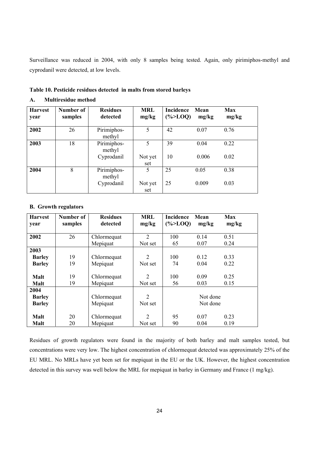Surveillance was reduced in 2004, with only 8 samples being tested. Again, only pirimiphos-methyl and cyprodanil were detected, at low levels.

| <b>Harvest</b><br>year | Number of<br>samples | <b>Residues</b><br>detected | <b>MRL</b><br>mg/kg | Incidence<br>$(\% > LOQ)$ | Mean<br>mg/kg | <b>Max</b><br>mg/kg |
|------------------------|----------------------|-----------------------------|---------------------|---------------------------|---------------|---------------------|
| 2002                   | 26                   | Pirimiphos-<br>methyl       | 5                   | 42                        | 0.07          | 0.76                |
| 2003                   | 18                   | Pirimiphos-<br>methyl       | 5                   | 39                        | 0.04          | 0.22                |
|                        |                      | Cyprodanil                  | Not yet<br>set      | 10                        | 0.006         | 0.02                |
| 2004                   | 8                    | Pirimiphos-<br>methyl       | 5                   | 25                        | 0.05          | 0.38                |
|                        |                      | Cyprodanil                  | Not yet<br>set      | 25                        | 0.009         | 0.03                |

# **Table 10. Pesticide residues detected in malts from stored barleys**

### **A. Multiresidue method**

# **B. Growth regulators**

| <b>Harvest</b> | Number of | <b>Residues</b> | <b>MRL</b>                  | <b>Incidence</b> | Mean     | <b>Max</b> |
|----------------|-----------|-----------------|-----------------------------|------------------|----------|------------|
| year           | samples   | detected        | mg/kg                       | $(\% > LOQ)$     | mg/kg    | mg/kg      |
|                |           |                 |                             |                  |          |            |
| 2002           | 26        | Chlormequat     | $\mathcal{D}_{\mathcal{L}}$ | 100              | 0.14     | 0.51       |
|                |           | Mepiquat        | Not set                     | 65               | 0.07     | 0.24       |
| 2003           |           |                 |                             |                  |          |            |
| <b>Barley</b>  | 19        | Chlormequat     | 2                           | 100              | 0.12     | 0.33       |
| <b>Barley</b>  | 19        | Mepiquat        | Not set                     | 74               | 0.04     | 0.22       |
|                |           |                 |                             |                  |          |            |
| Malt           | 19        | Chlormequat     | $\overline{2}$              | 100              | 0.09     | 0.25       |
| Malt           | 19        | Mepiquat        | Not set                     | 56               | 0.03     | 0.15       |
| 2004           |           |                 |                             |                  |          |            |
| <b>Barley</b>  |           | Chlormequat     | $\overline{2}$              |                  | Not done |            |
| <b>Barley</b>  |           | Mepiquat        | Not set                     |                  | Not done |            |
|                |           |                 |                             |                  |          |            |
| Malt           | 20        | Chlormequat     | $\overline{2}$              | 95               | 0.07     | 0.23       |
| Malt           | 20        | Mepiquat        | Not set                     | 90               | 0.04     | 0.19       |

Residues of growth regulators were found in the majority of both barley and malt samples tested, but concentrations were very low. The highest concentration of chlormequat detected was approximately 25% of the EU MRL. No MRLs have yet been set for mepiquat in the EU or the UK. However, the highest concentration detected in this survey was well below the MRL for mepiquat in barley in Germany and France (1 mg/kg).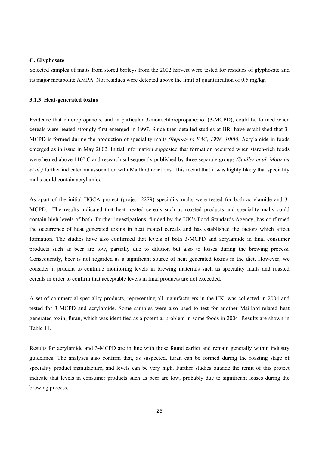#### **C. Glyphosate**

Selected samples of malts from stored barleys from the 2002 harvest were tested for residues of glyphosate and its major metabolite AMPA. Not residues were detected above the limit of quantification of 0.5 mg/kg.

#### **3.1.3 Heat-generated toxins**

Evidence that chloropropanols, and in particular 3-monochloropropanediol (3-MCPD), could be formed when cereals were heated strongly first emerged in 1997. Since then detailed studies at BRi have established that 3- MCPD is formed during the production of speciality malts *(Reports to FAC, 1998, 1999).* Acrylamide in foods emerged as in issue in May 2002. Initial information suggested that formation occurred when starch-rich foods were heated above 110° C and research subsequently published by three separate groups *(Stadler et al, Mottram et al )* further indicated an association with Maillard reactions. This meant that it was highly likely that speciality malts could contain acrylamide.

As apart of the initial HGCA project (project 2279) speciality malts were tested for both acrylamide and 3- MCPD. The results indicated that heat treated cereals such as roasted products and speciality malts could contain high levels of both. Further investigations, funded by the UK's Food Standards Agency, has confirmed the occurrence of heat generated toxins in heat treated cereals and has established the factors which affect formation. The studies have also confirmed that levels of both 3-MCPD and acrylamide in final consumer products such as beer are low, partially due to dilution but also to losses during the brewing process. Consequently, beer is not regarded as a significant source of heat generated toxins in the diet. However, we consider it prudent to continue monitoring levels in brewing materials such as speciality malts and roasted cereals in order to confirm that acceptable levels in final products are not exceeded.

A set of commercial speciality products, representing all manufacturers in the UK, was collected in 2004 and tested for 3-MCPD and acrylamide. Some samples were also used to test for another Maillard-related heat generated toxin, furan, which was identified as a potential problem in some foods in 2004. Results are shown in Table 11.

Results for acrylamide and 3-MCPD are in line with those found earlier and remain generally within industry guidelines. The analyses also confirm that, as suspected, furan can be formed during the roasting stage of speciality product manufacture, and levels can be very high. Further studies outside the remit of this project indicate that levels in consumer products such as beer are low, probably due to significant losses during the brewing process.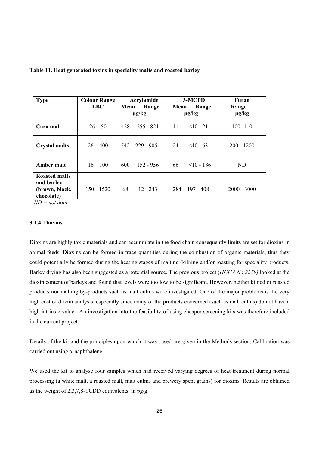| <b>Type</b>                                                        | <b>Colour Range</b><br>EBC. | Acrylamide<br>Mean<br>Range<br>$\mu$ g/kg | 3-MCPD<br>Range<br>Mean<br>$\mu$ g/kg | Furan<br>Range<br>$\mu$ g/kg |
|--------------------------------------------------------------------|-----------------------------|-------------------------------------------|---------------------------------------|------------------------------|
| Cara malt                                                          | $26 - 50$                   | 428<br>$255 - 821$                        | 11<br>$10 - 21$                       | $100 - 110$                  |
| <b>Crystal malts</b>                                               | $26 - 400$                  | 542 229 - 905                             | 24<br>$< 10 - 63$                     | $200 - 1200$                 |
| Amber malt                                                         | $16 - 100$                  | 600<br>$152 - 956$                        | 66<br>$\leq 10 - 186$                 | ND                           |
| <b>Roasted malts</b><br>and barley<br>(brown, black,<br>chocolate) | $150 - 1520$                | 68<br>$12 - 243$                          | 284<br>$197 - 408$                    | $2000 - 3000$                |

#### **Table 11. Heat generated toxins in speciality malts and roasted barley**

 *ND = not done* 

#### **3.1.4 Dioxins**

Dioxins are highly toxic materials and can accumulate in the food chain consequently limits are set for dioxins in animal feeds. Dioxins can be formed in trace quantities during the combustion of organic materials, thus they could potentially be formed during the heating stages of malting (kilning and/or roasting for speciality products. Barley drying has also been suggested as a potential source. The previous project (*HGCA No 2279)* looked at the dioxin content of barleys and found that levels were too low to be significant. However, neither kilned or roasted products nor malting by-products such as malt culms were investigated. One of the major problems is the very high cost of dioxin analysis, especially since many of the products concerned (such as malt culms) do not have a high intrinsic value. An investigation into the feasibility of using cheaper screening kits was therefore included in the current project.

Details of the kit and the principles upon which it was based are given in the Methods section. Calibration was carried out using α-naphthalene

We used the kit to analyse four samples which had received varying degrees of heat treatment during normal processing (a white malt, a roasted malt, malt culms and brewery spent grains) for dioxins. Results are obtained as the weight of 2,3,7,8-TCDD equivalents, in pg/g.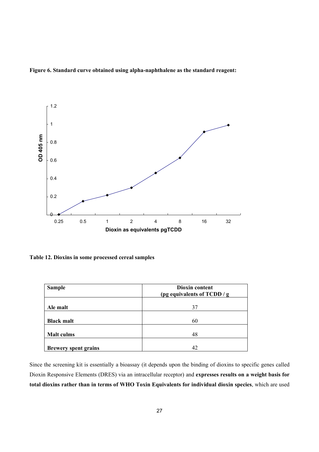![](_page_29_Figure_0.jpeg)

![](_page_29_Figure_1.jpeg)

**Table 12. Dioxins in some processed cereal samples** 

| <b>Sample</b>               | Dioxin content<br>(pg equivalents of TCDD / g |
|-----------------------------|-----------------------------------------------|
| Ale malt                    | 37                                            |
| <b>Black malt</b>           | 60                                            |
| <b>Malt culms</b>           | 48                                            |
| <b>Brewery spent grains</b> | 42                                            |

Since the screening kit is essentially a bioassay (it depends upon the binding of dioxins to specific genes called Dioxin Responsive Elements (DRES) via an intracellular receptor) and **expresses results on a weight basis for total dioxins rather than in terms of WHO Toxin Equivalents for individual dioxin species**, which are used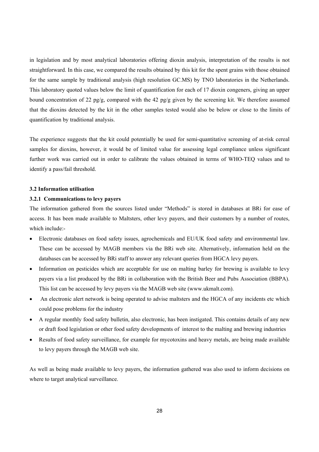in legislation and by most analytical laboratories offering dioxin analysis, interpretation of the results is not straightforward. In this case, we compared the results obtained by this kit for the spent grains with those obtained for the same sample by traditional analysis (high resolution GC.MS) by TNO laboratories in the Netherlands. This laboratory quoted values below the limit of quantification for each of 17 dioxin congeners, giving an upper bound concentration of 22 pg/g, compared with the 42 pg/g given by the screening kit. We therefore assumed that the dioxins detected by the kit in the other samples tested would also be below or close to the limits of quantification by traditional analysis.

The experience suggests that the kit could potentially be used for semi-quantitative screening of at-risk cereal samples for dioxins, however, it would be of limited value for assessing legal compliance unless significant further work was carried out in order to calibrate the values obtained in terms of WHO-TEQ values and to identify a pass/fail threshold.

#### **3.2 Information utilisation**

# **3.2.1 Communications to levy payers**

The information gathered from the sources listed under "Methods" is stored in databases at BRi for ease of access. It has been made available to Maltsters, other levy payers, and their customers by a number of routes, which include:-

- Electronic databases on food safety issues, agrochemicals and EU/UK food safety and environmental law. These can be accessed by MAGB members via the BRi web site. Alternatively, information held on the databases can be accessed by BRi staff to answer any relevant queries from HGCA levy payers.
- Information on pesticides which are acceptable for use on malting barley for brewing is available to levy payers via a list produced by the BRi in collaboration with the British Beer and Pubs Association (BBPA). This list can be accessed by levy payers via the MAGB web site (www.ukmalt.com).
- An electronic alert network is being operated to advise maltsters and the HGCA of any incidents etc which could pose problems for the industry
- A regular monthly food safety bulletin, also electronic, has been instigated. This contains details of any new or draft food legislation or other food safety developments of interest to the malting and brewing industries
- Results of food safety surveillance, for example for mycotoxins and heavy metals, are being made available to levy payers through the MAGB web site.

As well as being made available to levy payers, the information gathered was also used to inform decisions on where to target analytical surveillance.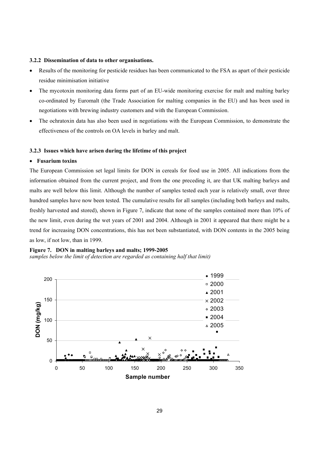#### **3.2.2 Dissemination of data to other organisations.**

- Results of the monitoring for pesticide residues has been communicated to the FSA as apart of their pesticide residue minimisation initiative
- The mycotoxin monitoring data forms part of an EU-wide monitoring exercise for malt and malting barley co-ordinated by Euromalt (the Trade Association for malting companies in the EU) and has been used in negotiations with brewing industry customers and with the European Commission.
- The ochratoxin data has also been used in negotiations with the European Commission, to demonstrate the effectiveness of the controls on OA levels in barley and malt.

#### **3.2.3 Issues which have arisen during the lifetime of this project**

#### • **Fusarium toxins**

The European Commission set legal limits for DON in cereals for food use in 2005. All indications from the information obtained from the current project, and from the one preceding it, are that UK malting barleys and malts are well below this limit. Although the number of samples tested each year is relatively small, over three hundred samples have now been tested. The cumulative results for all samples (including both barleys and malts, freshly harvested and stored), shown in Figure 7, indicate that none of the samples contained more than 10% of the new limit, even during the wet years of 2001 and 2004. Although in 2001 it appeared that there might be a trend for increasing DON concentrations, this has not been substantiated, with DON contents in the 2005 being as low, if not low, than in 1999.

#### **Figure 7. DON in malting barleys and malts; 1999-2005**

# *samples below the limit of detection are regarded as containing half that limit)*

![](_page_31_Figure_9.jpeg)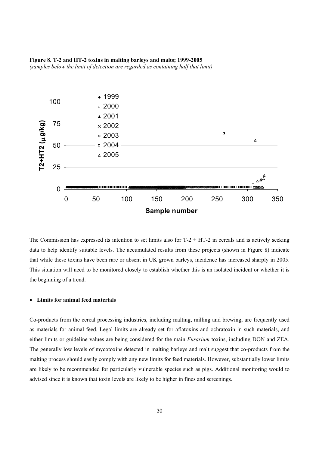#### **Figure 8. T-2 and HT-2 toxins in malting barleys and malts; 1999-2005**  *(samples below the limit of detection are regarded as containing half that limit)*

![](_page_32_Figure_1.jpeg)

The Commission has expressed its intention to set limits also for  $T-2 + HT-2$  in cereals and is actively seeking data to help identify suitable levels. The accumulated results from these projects (shown in Figure 8) indicate that while these toxins have been rare or absent in UK grown barleys, incidence has increased sharply in 2005. This situation will need to be monitored closely to establish whether this is an isolated incident or whether it is the beginning of a trend.

#### • **Limits for animal feed materials**

Co-products from the cereal processing industries, including malting, milling and brewing, are frequently used as materials for animal feed. Legal limits are already set for aflatoxins and ochratoxin in such materials, and either limits or guideline values are being considered for the main *Fusarium* toxins, including DON and ZEA. The generally low levels of mycotoxins detected in malting barleys and malt suggest that co-products from the malting process should easily comply with any new limits for feed materials. However, substantially lower limits are likely to be recommended for particularly vulnerable species such as pigs. Additional monitoring would to advised since it is known that toxin levels are likely to be higher in fines and screenings.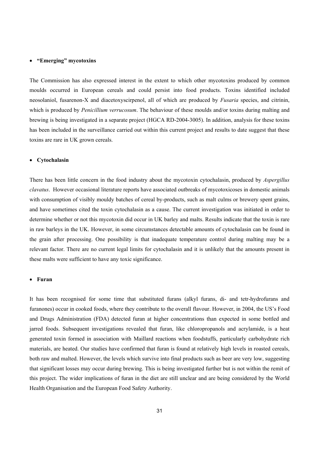#### • **"Emerging" mycotoxins**

The Commission has also expressed interest in the extent to which other mycotoxins produced by common moulds occurred in European cereals and could persist into food products. Toxins identified included neosolaniol, fusarenon-X and diacetoxyscirpenol, all of which are produced by *Fusaria* species, and citrinin, which is produced by *Penicillium verrucosum*. The behaviour of these moulds and/or toxins during malting and brewing is being investigated in a separate project (HGCA RD-2004-3005). In addition, analysis for these toxins has been included in the surveillance carried out within this current project and results to date suggest that these toxins are rare in UK grown cereals.

#### • **Cytochalasin**

There has been little concern in the food industry about the mycotoxin cytochalasin, produced by *Aspergillus clavatus*. However occasional literature reports have associated outbreaks of mycotoxicoses in domestic animals with consumption of visibly mouldy batches of cereal by-products, such as malt culms or brewery spent grains, and have sometimes cited the toxin cytochalasin as a cause. The current investigation was initiated in order to determine whether or not this mycotoxin did occur in UK barley and malts. Results indicate that the toxin is rare in raw barleys in the UK. However, in some circumstances detectable amounts of cytochalasin can be found in the grain after processing. One possibility is that inadequate temperature control during malting may be a relevant factor. There are no current legal limits for cytochalasin and it is unlikely that the amounts present in these malts were sufficient to have any toxic significance.

#### • **Furan**

It has been recognised for some time that substituted furans (alkyl furans, di- and tetr-hydrofurans and furanones) occur in cooked foods, where they contribute to the overall flavour. However, in 2004, the US's Food and Drugs Administration (FDA) detected furan at higher concentrations than expected in some bottled and jarred foods. Subsequent investigations revealed that furan, like chloropropanols and acrylamide, is a heat generated toxin formed in association with Maillard reactions when foodstuffs, particularly carbohydrate rich materials, are heated. Our studies have confirmed that furan is found at relatively high levels in roasted cereals, both raw and malted. However, the levels which survive into final products such as beer are very low, suggesting that significant losses may occur during brewing. This is being investigated further but is not within the remit of this project. The wider implications of furan in the diet are still unclear and are being considered by the World Health Organisation and the European Food Safety Authority.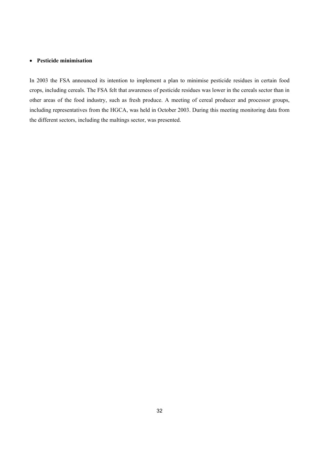### • **Pesticide minimisation**

In 2003 the FSA announced its intention to implement a plan to minimise pesticide residues in certain food crops, including cereals. The FSA felt that awareness of pesticide residues was lower in the cereals sector than in other areas of the food industry, such as fresh produce. A meeting of cereal producer and processor groups, including representatives from the HGCA, was held in October 2003. During this meeting monitoring data from the different sectors, including the maltings sector, was presented.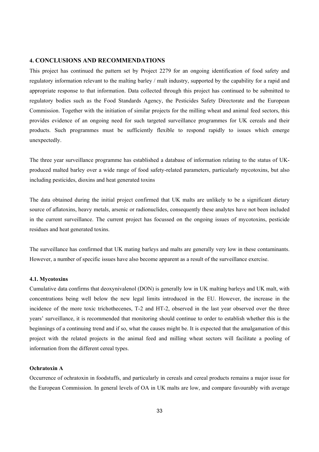#### **4. CONCLUSIONS AND RECOMMENDATIONS**

This project has continued the pattern set by Project 2279 for an ongoing identification of food safety and regulatory information relevant to the malting barley / malt industry, supported by the capability for a rapid and appropriate response to that information. Data collected through this project has continued to be submitted to regulatory bodies such as the Food Standards Agency, the Pesticides Safety Directorate and the European Commission. Together with the initiation of similar projects for the milling wheat and animal feed sectors, this provides evidence of an ongoing need for such targeted surveillance programmes for UK cereals and their products. Such programmes must be sufficiently flexible to respond rapidly to issues which emerge unexpectedly.

The three year surveillance programme has established a database of information relating to the status of UKproduced malted barley over a wide range of food safety-related parameters, particularly mycotoxins, but also including pesticides, dioxins and heat generated toxins

The data obtained during the initial project confirmed that UK malts are unlikely to be a significant dietary source of aflatoxins, heavy metals, arsenic or radionuclides, consequently these analytes have not been included in the current surveillance. The current project has focussed on the ongoing issues of mycotoxins, pesticide residues and heat generated toxins.

The surveillance has confirmed that UK mating barleys and malts are generally very low in these contaminants. However, a number of specific issues have also become apparent as a result of the surveillance exercise.

# **4.1. Mycotoxins**

Cumulative data confirms that deoxynivalenol (DON) is generally low in UK malting barleys and UK malt, with concentrations being well below the new legal limits introduced in the EU. However, the increase in the incidence of the more toxic trichothecenes, T-2 and HT-2, observed in the last year observed over the three years' surveillance, it is recommended that monitoring should continue to order to establish whether this is the beginnings of a continuing trend and if so, what the causes might be. It is expected that the amalgamation of this project with the related projects in the animal feed and milling wheat sectors will facilitate a pooling of information from the different cereal types.

# **Ochratoxin A**

Occurrence of ochratoxin in foodstuffs, and particularly in cereals and cereal products remains a major issue for the European Commission. In general levels of OA in UK malts are low, and compare favourably with average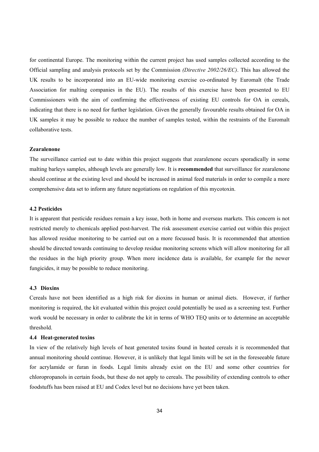for continental Europe. The monitoring within the current project has used samples collected according to the Official sampling and analysis protocols set by the Commission *(Directive 2002/26/EC)*. This has allowed the UK results to be incorporated into an EU-wide monitoring exercise co-ordinated by Euromalt (the Trade Association for malting companies in the EU). The results of this exercise have been presented to EU Commissioners with the aim of confirming the effectiveness of existing EU controls for OA in cereals, indicating that there is no need for further legislation. Given the generally favourable results obtained for OA in UK samples it may be possible to reduce the number of samples tested, within the restraints of the Euromalt collaborative tests.

# **Zearalenone**

The surveillance carried out to date within this project suggests that zearalenone occurs sporadically in some malting barleys samples, although levels are generally low. It is **recommended** that surveillance for zearalenone should continue at the existing level and should be increased in animal feed materials in order to compile a more comprehensive data set to inform any future negotiations on regulation of this mycotoxin.

# **4.2 Pesticides**

It is apparent that pesticide residues remain a key issue, both in home and overseas markets. This concern is not restricted merely to chemicals applied post-harvest. The risk assessment exercise carried out within this project has allowed residue monitoring to be carried out on a more focussed basis. It is recommended that attention should be directed towards continuing to develop residue monitoring screens which will allow monitoring for all the residues in the high priority group. When more incidence data is available, for example for the newer fungicides, it may be possible to reduce monitoring.

#### **4.3 Dioxins**

Cereals have not been identified as a high risk for dioxins in human or animal diets. However, if further monitoring is required, the kit evaluated within this project could potentially be used as a screening test. Further work would be necessary in order to calibrate the kit in terms of WHO TEQ units or to determine an acceptable threshold.

#### **4.4 Heat-generated toxins**

In view of the relatively high levels of heat generated toxins found in heated cereals it is recommended that annual monitoring should continue. However, it is unlikely that legal limits will be set in the foreseeable future for acrylamide or furan in foods. Legal limits already exist on the EU and some other countries for chloropropanols in certain foods, but these do not apply to cereals. The possibility of extending controls to other foodstuffs has been raised at EU and Codex level but no decisions have yet been taken.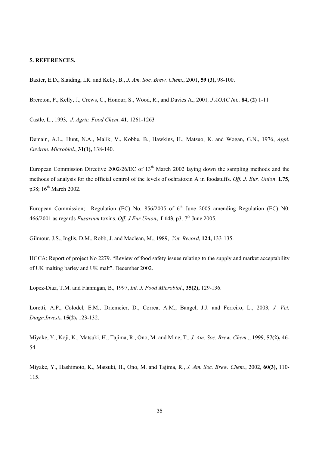#### **5. REFERENCES.**

Baxter, E.D., Slaiding, I.R. and Kelly, B., *J. Am. Soc. Brew. Chem*., 2001, **59 (3),** 98-100.

Brereton, P., Kelly, J., Crews, C., Honour, S., Wood, R., and Davies A., 2001*, J AOAC Int.,* **84, (2)** 1-11

Castle, L., 1993*, J. Agric. Food Chem*. **41**, 1261-1263

Demain, A.L., Hunt, N.A., Malik, V., Kobbe, B., Hawkins, H., Matsuo, K. and Wogan, G.N., 1976, *Appl. Environ. Microbiol*., **31(1),** 138-140.

European Commission Directive 2002/26/EC of 13<sup>th</sup> March 2002 laying down the sampling methods and the methods of analysis for the official control of the levels of ochratoxin A in foodstuffs. *Off. J. Eur. Union*. **L75**, p38; 16<sup>th</sup> March 2002.

European Commission; Regulation (EC) No.  $856/2005$  of  $6<sup>th</sup>$  June 2005 amending Regulation (EC) N0. 466/2001 as regards *Fusarium* toxins. *Off. J Eur. Union*, **L143**, p3.  $7<sup>th</sup>$  June 2005.

Gilmour, J.S., Inglis, D.M., Robb, J. and Maclean, M., 1989, *Vet. Record*, **124,** 133-135.

HGCA; Report of project No 2279. "Review of food safety issues relating to the supply and market acceptability of UK malting barley and UK malt". December 2002.

Lopez-Diaz, T.M. and Flannigan, B., 1997, *Int. J. Food Microbiol*., **35(2),** 129-136.

Loretti, A.P., Colodel, E.M., Driemeier, D., Correa, A.M., Bangel, J.J. and Ferreiro, L., 2003, *J. Vet. Diagn.Invest.,* **15(2),** 123-132.

Miyake, Y., Koji, K., Matsuki, H., Tajima, R., Ono, M. and Mine, T., *J. Am. Soc. Brew. Chem*.,, 1999, **57(2),** 46- 54

Miyake, Y., Hashimoto, K., Matsuki, H., Ono, M. and Tajima, R., *J. Am. Soc. Brew. Chem.*, 2002, **60(3),** 110- 115.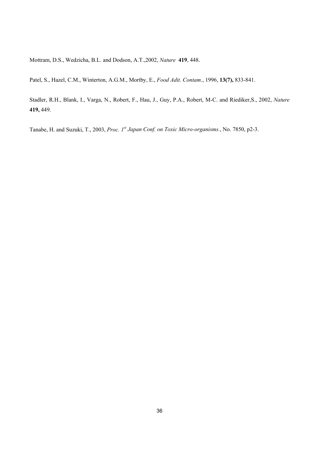Mottram, D.S., Wedzicha, B.L. and Dodson, A.T.,2002, *Nature* **419**, 448.

Patel, S., Hazel, C.M., Winterton, A.G.M., Mortby, E., *Food Adit. Contam*., 1996, **13(7),** 833-841.

Stadler, R.H., Blank, I., Varga, N., Robert, F., Hau, J., Guy, P.A., Robert, M-C. and Riediker,S., 2002, *Nature* **419,** 449.

Tanabe, H. and Suzuki, T., 2003, *Proc. 1st Japan Conf. on Toxic Micro-organisms.*, No. 7850, p2-3.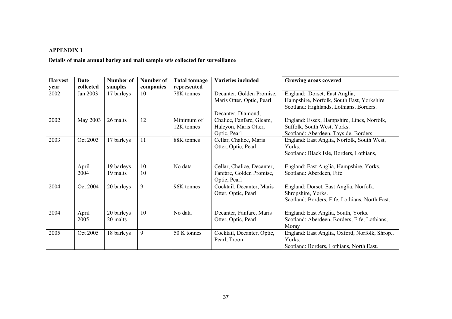#### **APPENDIX 1**

**Details of main annual barley and malt sample sets collected for surveillance** 

| <b>Harvest</b> | Date      | Number of  | <b>Number of</b> | <b>Total tonnage</b> | <b>Varieties included</b>  | Growing areas covered                          |
|----------------|-----------|------------|------------------|----------------------|----------------------------|------------------------------------------------|
| year           | collected | samples    | companies        | represented          |                            |                                                |
| 2002           | Jan 2003  | 17 barleys | 10               | 78K tonnes           | Decanter, Golden Promise,  | England: Dorset, East Anglia,                  |
|                |           |            |                  |                      | Maris Otter, Optic, Pearl  | Hampshire, Norfolk, South East, Yorkshire      |
|                |           |            |                  |                      |                            | Scotland: Highlands, Lothians, Borders.        |
|                |           |            |                  |                      | Decanter, Diamond,         |                                                |
| 2002           | May 2003  | 26 malts   | 12               | Minimum of           | Chalice, Fanfare, Gleam,   | England: Essex, Hampshire, Lincs, Norfolk,     |
|                |           |            |                  | 12K tonnes           | Halcyon, Maris Otter,      | Suffolk, South West, Yorks.                    |
|                |           |            |                  |                      | Optic, Pearl               | Scotland: Aberdeen, Tayside, Borders           |
| 2003           | Oct 2003  | 17 barleys | 11               | 88K tonnes           | Cellar, Chalice, Maris     | England: East Anglia, Norfolk, South West,     |
|                |           |            |                  |                      | Otter, Optic, Pearl        | Yorks.                                         |
|                |           |            |                  |                      |                            | Scotland: Black Isle, Borders, Lothians,       |
|                |           |            |                  |                      |                            |                                                |
|                | April     | 19 barleys | 10               | No data              | Cellar, Chalice, Decanter, | England: East Anglia, Hampshire, Yorks.        |
|                | 2004      | 19 malts   | 10               |                      | Fanfare, Golden Promise,   | Scotland: Aberdeen, Fife                       |
|                |           |            |                  |                      | Optic, Pearl               |                                                |
| 2004           | Oct 2004  | 20 barleys | 9                | 96K tonnes           | Cocktail, Decanter, Maris  | England: Dorset, East Anglia, Norfolk,         |
|                |           |            |                  |                      | Otter, Optic, Pearl        | Shropshire, Yorks.                             |
|                |           |            |                  |                      |                            | Scotland: Borders, Fife, Lothians, North East. |
|                |           |            |                  |                      |                            |                                                |
| 2004           | April     | 20 barleys | 10               | No data              | Decanter, Fanfare, Maris   | England: East Anglia, South, Yorks.            |
|                | 2005      | 20 malts   |                  |                      | Otter, Optic, Pearl        | Scotland: Aberdeen, Borders, Fife, Lothians,   |
|                |           |            |                  |                      |                            | Moray                                          |
| 2005           | Oct 2005  | 18 barleys | 9                | 50 K tonnes          | Cocktail, Decanter, Optic, | England: East Anglia, Oxford, Norfolk, Shrop., |
|                |           |            |                  |                      | Pearl, Troon               | Yorks.                                         |
|                |           |            |                  |                      |                            | Scotland: Borders, Lothians, North East.       |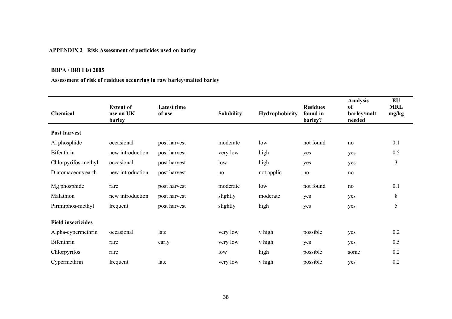# **APPENDIX 2 Risk Assessment of pesticides used on barley**

#### **BBPA / BRi List 2005**

# **Assessment of risk of residues occurring in raw barley/malted barley**

| Chemical                  | <b>Extent of</b><br>use on UK<br>barley | <b>Latest time</b><br>of use | <b>Solubility</b> | Hydrophobicity | <b>Residues</b><br>found in<br>barley? | <b>Analysis</b><br>of<br>barley/malt<br>needed | EU<br><b>MRL</b><br>mg/kg |
|---------------------------|-----------------------------------------|------------------------------|-------------------|----------------|----------------------------------------|------------------------------------------------|---------------------------|
| Post harvest              |                                         |                              |                   |                |                                        |                                                |                           |
| Al phosphide              | occasional                              | post harvest                 | moderate          | low            | not found                              | no                                             | 0.1                       |
| Bifenthrin                | new introduction                        | post harvest                 | very low          | high           | yes                                    | yes                                            | 0.5                       |
| Chlorpyrifos-methyl       | occasional                              | post harvest                 | low               | high           | yes                                    | yes                                            | 3                         |
| Diatomaceous earth        | new introduction                        | post harvest                 | no                | not applic     | no                                     | no                                             |                           |
| Mg phosphide              | rare                                    | post harvest                 | moderate          | low            | not found                              | no                                             | 0.1                       |
| Malathion                 | new introduction                        | post harvest                 | slightly          | moderate       | yes                                    | yes                                            | 8                         |
| Pirimiphos-methyl         | frequent                                | post harvest                 | slightly          | high           | yes                                    | yes                                            | 5                         |
| <b>Field insecticides</b> |                                         |                              |                   |                |                                        |                                                |                           |
| Alpha-cypermethrin        | occasional                              | late                         | very low          | v high         | possible                               | yes                                            | 0.2                       |
| Bifenthrin                | rare                                    | early                        | very low          | v high         | yes                                    | yes                                            | 0.5                       |
| Chlorpyrifos              | rare                                    |                              | low               | high           | possible                               | some                                           | 0.2                       |
| Cypermethrin              | frequent                                | late                         | very low          | v high         | possible                               | yes                                            | 0.2                       |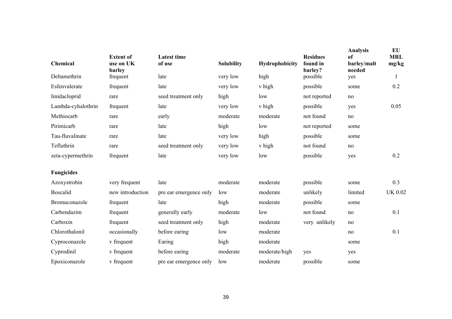| Chemical           | <b>Extent of</b><br>use on UK<br>barley | <b>Latest time</b><br>of use | <b>Solubility</b> | Hydrophobicity | <b>Residues</b><br>found in<br>barley? | <b>Analysis</b><br>of<br>barley/malt<br>needed | EU<br><b>MRL</b><br>mg/kg |
|--------------------|-----------------------------------------|------------------------------|-------------------|----------------|----------------------------------------|------------------------------------------------|---------------------------|
| Deltamethrin       | frequent                                | late                         | very low          | high           | possible                               | yes                                            | 1                         |
| Esfenvalerate      | frequent                                | late                         | very low          | v high         | possible                               | some                                           | 0.2                       |
| Imidacloprid       | rare                                    | seed treatment only          | high              | low            | not reported                           | no                                             |                           |
| Lambda-cyhalothrin | frequent                                | late                         | very low          | v high         | possible                               | yes                                            | 0.05                      |
| Methiocarb         | rare                                    | early                        | moderate          | moderate       | not found                              | $\rm no$                                       |                           |
| Pirimicarb         | rare                                    | late                         | high              | low            | not reported                           | some                                           |                           |
| Tau-fluvalinate    | rare                                    | late                         | very low          | high           | possible                               | some                                           |                           |
| Tefluthrin         | rare                                    | seed treatment only          | very low          | v high         | not found                              | no                                             |                           |
| zeta-cypermethrin  | frequent                                | late                         | very low          | low            | possible                               | yes                                            | 0.2                       |
| <b>Fungicides</b>  |                                         |                              |                   |                |                                        |                                                |                           |
| Azoxystrobin       | very frequent                           | late                         | moderate          | moderate       | possible                               | some                                           | 0.3                       |
| <b>Boscalid</b>    | new introduction                        | pre ear emergence only       | low               | moderate       | unlikely                               | limited                                        | <b>UK 0.02</b>            |
| Bromuconazole      | frequent                                | late                         | high              | moderate       | possible                               | some                                           |                           |
| Carbendazim        | frequent                                | generally early              | moderate          | low            | not found                              | no                                             | 0.1                       |
| Carboxin           | frequent                                | seed treatment only          | high              | moderate       | very unlikely                          | no                                             |                           |
| Chlorothalonil     | occasionally                            | before earing                | low               | moderate       |                                        | no                                             | 0.1                       |
| Cyproconazole      | v frequent                              | Earing                       | high              | moderate       |                                        | some                                           |                           |
| Cyprodinil         | v frequent                              | before earing                | moderate          | moderate/high  | yes                                    | yes                                            |                           |
| Epoxiconazole      | v frequent                              | pre ear emergence only       | low               | moderate       | possible                               | some                                           |                           |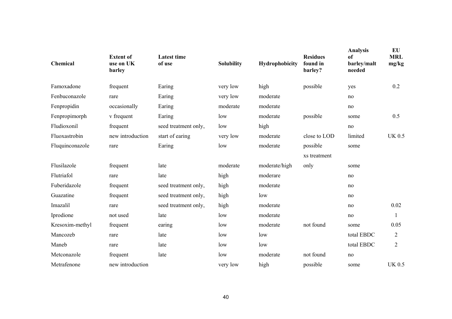| Chemical        | <b>Extent of</b><br>use on UK<br>barley | <b>Latest time</b><br>of use | <b>Solubility</b> | Hydrophobicity | <b>Residues</b><br>found in<br>barley? | <b>Analysis</b><br>of<br>barley/malt<br>needed | EU<br><b>MRL</b><br>mg/kg |
|-----------------|-----------------------------------------|------------------------------|-------------------|----------------|----------------------------------------|------------------------------------------------|---------------------------|
| Famoxadone      | frequent                                | Earing                       | very low          | high           | possible                               | yes                                            | 0.2                       |
| Fenbuconazole   | rare                                    | Earing                       | very low          | moderate       |                                        | no                                             |                           |
| Fenpropidin     | occasionally                            | Earing                       | moderate          | moderate       |                                        | no                                             |                           |
| Fenpropimorph   | v frequent                              | Earing                       | low               | moderate       | possible                               | some                                           | 0.5                       |
| Fludioxonil     | frequent                                | seed treatment only,         | low               | high           |                                        | no                                             |                           |
| Fluoxastrobin   | new introduction                        | start of earing              | very low          | moderate       | close to LOD                           | limited                                        | <b>UK 0.5</b>             |
| Fluquinconazole | rare                                    | Earing                       | low               | moderate       | possible                               | some                                           |                           |
|                 |                                         |                              |                   |                | xs treatment                           |                                                |                           |
| Flusilazole     | frequent                                | late                         | moderate          | moderate/high  | only                                   | some                                           |                           |
| Flutriafol      | rare                                    | late                         | high              | moderare       |                                        | no                                             |                           |
| Fuberidazole    | frequent                                | seed treatment only,         | high              | moderate       |                                        | no                                             |                           |
| Guazatine       | frequent                                | seed treatment only,         | high              | low            |                                        | no                                             |                           |
| Imazalil        | rare                                    | seed treatment only,         | high              | moderate       |                                        | no                                             | 0.02                      |
| Iprodione       | not used                                | late                         | low               | moderate       |                                        | no                                             | $\mathbf{1}$              |
| Kresoxim-methyl | frequent                                | earing                       | low               | moderate       | not found                              | some                                           | 0.05                      |
| Mancozeb        | rare                                    | late                         | low               | low            |                                        | total EBDC                                     | $\overline{2}$            |
| Maneb           | rare                                    | late                         | low               | low            |                                        | total EBDC                                     | $\overline{2}$            |
| Metconazole     | frequent                                | late                         | low               | moderate       | not found                              | no                                             |                           |
| Metrafenone     | new introduction                        |                              | very low          | high           | possible                               | some                                           | <b>UK 0.5</b>             |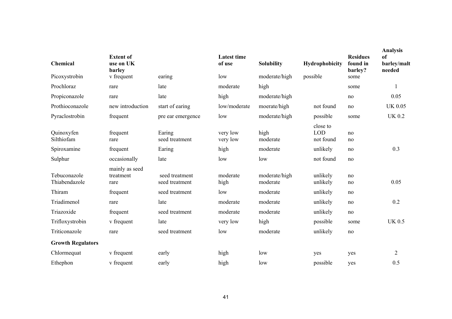| Chemical                      | <b>Extent of</b><br>use on UK<br>barley |                                  | <b>Latest time</b><br>of use | <b>Solubility</b>         | Hydrophobicity                      | <b>Residues</b><br>found in<br>barley? | <b>Analysis</b><br><sub>of</sub><br>barley/malt<br>needed |
|-------------------------------|-----------------------------------------|----------------------------------|------------------------------|---------------------------|-------------------------------------|----------------------------------------|-----------------------------------------------------------|
| Picoxystrobin                 | v frequent                              | earing                           | low                          | moderate/high             | possible                            | some                                   |                                                           |
| Prochloraz                    | rare                                    | late                             | moderate                     | high                      |                                     | some                                   |                                                           |
| Propiconazole                 | rare                                    | late                             | high                         | moderate/high             |                                     | no                                     | 0.05                                                      |
| Prothioconazole               | new introduction                        | start of earing                  | low/moderate                 | moerate/high              | not found                           | no                                     | <b>UK 0.05</b>                                            |
| Pyraclostrobin                | frequent                                | pre ear emergence                | low                          | moderate/high             | possible                            | some                                   | <b>UK 0.2</b>                                             |
| Quinoxyfen<br>Silthiofam      | frequent<br>rare                        | Earing<br>seed treatment         | very low<br>very low         | high<br>moderate          | close to<br><b>LOD</b><br>not found | no<br>no                               |                                                           |
| Spiroxamine                   | frequent                                | Earing                           | high                         | moderate                  | unlikely                            | no                                     | 0.3                                                       |
| Sulphur                       | occasionally                            | late                             | low                          | low                       | not found                           | no                                     |                                                           |
| Tebuconazole<br>Thiabendazole | mainly as seed<br>treatment<br>rare     | seed treatment<br>seed treatment | moderate<br>high             | moderate/high<br>moderate | unlikely<br>unlikely                | no<br>no                               | 0.05                                                      |
| Thiram                        | frequent                                | seed treatment                   | low                          | moderate                  | unlikely                            | no                                     |                                                           |
| Triadimenol                   | rare                                    | late                             | moderate                     | moderate                  | unlikely                            | no                                     | 0.2                                                       |
| Triazoxide                    | frequent                                | seed treatment                   | moderate                     | moderate                  | unlikely                            | no                                     |                                                           |
| Trifloxystrobin               | v frequent                              | late                             | very low                     | high                      | possible                            | some                                   | <b>UK 0.5</b>                                             |
| Triticonazole                 | rare                                    | seed treatment                   | low                          | moderate                  | unlikely                            | no                                     |                                                           |
| <b>Growth Regulators</b>      |                                         |                                  |                              |                           |                                     |                                        |                                                           |
| Chlormequat                   | v frequent                              | early                            | high                         | low                       | yes                                 | yes                                    | $\mathbf{2}$                                              |
| Ethephon                      | v frequent                              | early                            | high                         | low                       | possible                            | yes                                    | 0.5                                                       |
|                               |                                         |                                  |                              |                           |                                     |                                        |                                                           |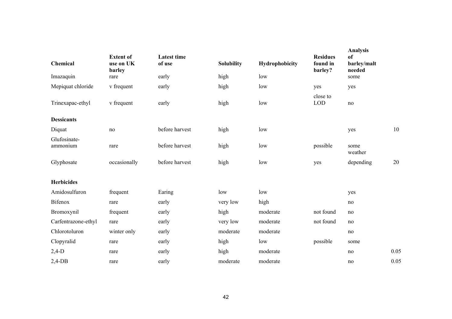| Chemical                 | <b>Extent of</b><br>use on UK<br>barley | <b>Latest time</b><br>of use | <b>Solubility</b> | Hydrophobicity | <b>Residues</b><br>found in<br>barley? | <b>Analysis</b><br>of<br>barley/malt<br>needed |      |
|--------------------------|-----------------------------------------|------------------------------|-------------------|----------------|----------------------------------------|------------------------------------------------|------|
| Imazaquin                | rare                                    | early                        | high              | low            |                                        | some                                           |      |
| Mepiquat chloride        | v frequent                              | early                        | high              | low            | yes                                    | yes                                            |      |
| Trinexapac-ethyl         | v frequent                              | early                        | high              | low            | close to<br><b>LOD</b>                 | no                                             |      |
| <b>Dessicants</b>        |                                         |                              |                   |                |                                        |                                                |      |
| Diquat                   | no                                      | before harvest               | high              | low            |                                        | yes                                            | 10   |
| Glufosinate-<br>ammonium | rare                                    | before harvest               | high              | low            | possible                               | some<br>weather                                |      |
| Glyphosate               | occasionally                            | before harvest               | high              | low            | yes                                    | depending                                      | 20   |
|                          |                                         |                              |                   |                |                                        |                                                |      |
| <b>Herbicides</b>        |                                         |                              |                   |                |                                        |                                                |      |
| Amidosulfuron            | frequent                                | Earing                       | low               | low            |                                        | yes                                            |      |
| <b>Bifenox</b>           | rare                                    | early                        | very low          | high           |                                        | no                                             |      |
| Bromoxynil               | frequent                                | early                        | high              | moderate       | not found                              | no                                             |      |
| Carfentrazone-ethyl      | rare                                    | early                        | very low          | moderate       | not found                              | $\rm no$                                       |      |
| Chlorotoluron            | winter only                             | early                        | moderate          | moderate       |                                        | no                                             |      |
| Clopyralid               | rare                                    | early                        | high              | low            | possible                               | some                                           |      |
| $2,4-D$                  | rare                                    | early                        | high              | moderate       |                                        | no                                             | 0.05 |
| $2,4$ -DB                | rare                                    | early                        | moderate          | moderate       |                                        | no                                             | 0.05 |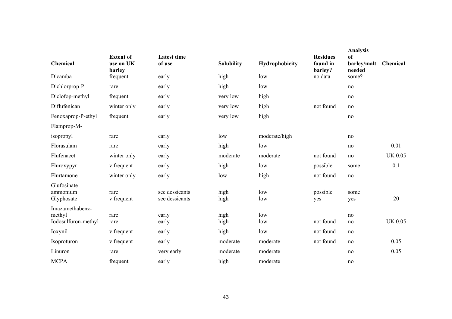| Chemical                                         | <b>Extent of</b><br>use on UK<br>barley | <b>Latest time</b><br>of use     | <b>Solubility</b> | Hydrophobicity | <b>Residues</b><br>found in<br>barley? | <b>Analysis</b><br><sub>of</sub><br>barley/malt<br>needed | Chemical       |
|--------------------------------------------------|-----------------------------------------|----------------------------------|-------------------|----------------|----------------------------------------|-----------------------------------------------------------|----------------|
| Dicamba                                          | frequent                                | early                            | high              | low            | no data                                | some?                                                     |                |
| Dichlorprop-P                                    | rare                                    | early                            | high              | low            |                                        | no                                                        |                |
| Diclofop-methyl                                  | frequent                                | early                            | very low          | high           |                                        | no                                                        |                |
| Diflufenican                                     | winter only                             | early                            | very low          | high           | not found                              | no                                                        |                |
| Fenoxaprop-P-ethyl                               | frequent                                | early                            | very low          | high           |                                        | no                                                        |                |
| Flamprop-M-                                      |                                         |                                  |                   |                |                                        |                                                           |                |
| isopropyl                                        | rare                                    | early                            | low               | moderate/high  |                                        | no                                                        |                |
| Florasulam                                       | rare                                    | early                            | high              | low            |                                        | no                                                        | 0.01           |
| Flufenacet                                       | winter only                             | early                            | moderate          | moderate       | not found                              | no                                                        | <b>UK 0.05</b> |
| Fluroxypyr                                       | v frequent                              | early                            | high              | low            | possible                               | some                                                      | 0.1            |
| Flurtamone                                       | winter only                             | early                            | low               | high           | not found                              | no                                                        |                |
| Glufosinate-<br>ammonium<br>Glyphosate           | rare<br>v frequent                      | see dessicants<br>see dessicants | high<br>high      | low<br>low     | possible<br>yes                        | some<br>yes                                               | 20             |
| Imazamethabenz-<br>methyl<br>Iodosulfuron-methyl | rare<br>rare                            | early<br>early                   | high<br>high      | low<br>low     | not found                              | no<br>no                                                  | <b>UK 0.05</b> |
| Ioxynil                                          | v frequent                              | early                            | high              | low            | not found                              | no                                                        |                |
| Isoproturon                                      | v frequent                              | early                            | moderate          | moderate       | not found                              | no                                                        | 0.05           |
| Linuron                                          | rare                                    | very early                       | moderate          | moderate       |                                        | no                                                        | 0.05           |
| <b>MCPA</b>                                      | frequent                                | early                            | high              | moderate       |                                        | no                                                        |                |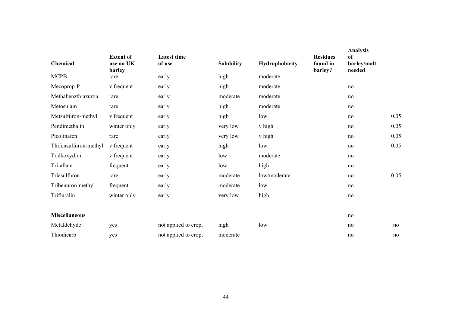| Chemical              | <b>Extent of</b><br>use on UK<br>barley | <b>Latest time</b><br>of use | <b>Solubility</b> | Hydrophobicity | <b>Residues</b><br>found in<br>barley? | Analysis<br><sub>of</sub><br>barley/malt<br>needed |      |
|-----------------------|-----------------------------------------|------------------------------|-------------------|----------------|----------------------------------------|----------------------------------------------------|------|
| <b>MCPB</b>           | rare                                    | early                        | high              | moderate       |                                        |                                                    |      |
| Mecoprop-P            | v frequent                              | early                        | high              | moderate       |                                        | no                                                 |      |
| Methabenzthiazuron    | rare                                    | early                        | moderate          | moderate       |                                        | no                                                 |      |
| Metosulam             | rare                                    | early                        | high              | moderate       |                                        | no                                                 |      |
| Metsulfuron-methyl    | v frequent                              | early                        | high              | low            |                                        | no                                                 | 0.05 |
| Pendimethalin         | winter only                             | early                        | very low          | v high         |                                        | no                                                 | 0.05 |
| Picolinafen           | rare                                    | early                        | very low          | v high         |                                        | no                                                 | 0.05 |
| Thifensulfuron-methyl | v frequent                              | early                        | high              | low            |                                        | no                                                 | 0.05 |
| Tralkoxydim           | v frequent                              | early                        | low               | moderate       |                                        | no                                                 |      |
| Tri-allate            | frequent                                | early                        | low               | high           |                                        | no                                                 |      |
| Triasulfuron          | rare                                    | early                        | moderate          | low/moderate   |                                        | no                                                 | 0.05 |
| Tribenuron-methyl     | frequent                                | early                        | moderate          | low            |                                        | no                                                 |      |
| Trifluralin           | winter only                             | early                        | very low          | high           |                                        | no                                                 |      |
|                       |                                         |                              |                   |                |                                        |                                                    |      |
| <b>Miscellaneous</b>  |                                         |                              |                   |                |                                        | no                                                 |      |
| Metaldehyde           | yes                                     | not applied to crop,         | high              | low            |                                        | no                                                 | no   |
| Thiodicarb            | yes                                     | not applied to crop,         | moderate          |                |                                        | no                                                 | no   |